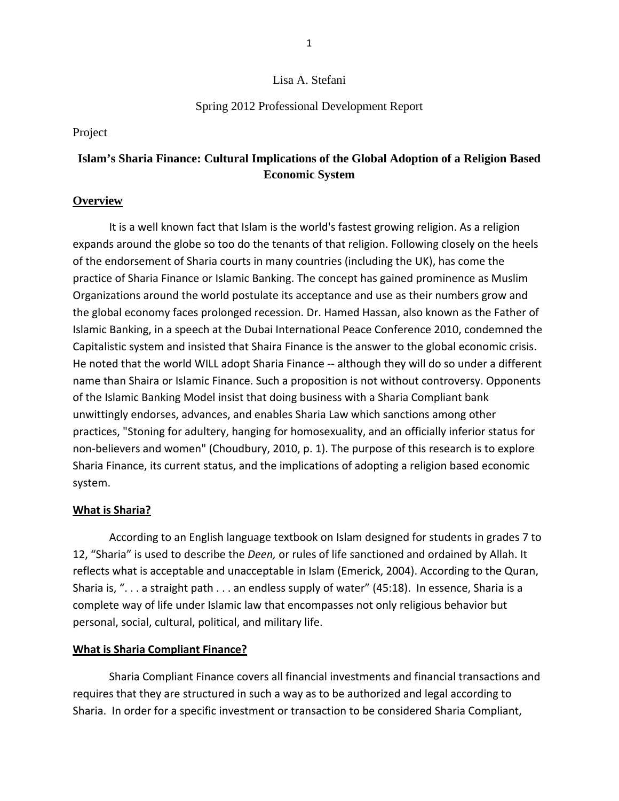### Lisa A. Stefani

### Spring 2012 Professional Development Report

#### Project

# **Islam's Sharia Finance: Cultural Implications of the Global Adoption of a Religion Based Economic System**

### **Overview**

It is a well known fact that Islam is the world's fastest growing religion. As a religion expands around the globe so too do the tenants of that religion. Following closely on the heels of the endorsement of Sharia courts in many countries (including the UK), has come the practice of Sharia Finance or Islamic Banking. The concept has gained prominence as Muslim Organizations around the world postulate its acceptance and use as their numbers grow and the global economy faces prolonged recession. Dr. Hamed Hassan, also known as the Father of Islamic Banking, in a speech at the Dubai International Peace Conference 2010, condemned the Capitalistic system and insisted that Shaira Finance is the answer to the global economic crisis. He noted that the world WILL adopt Sharia Finance -- although they will do so under a different name than Shaira or Islamic Finance. Such a proposition is not without controversy. Opponents of the Islamic Banking Model insist that doing business with a Sharia Compliant bank unwittingly endorses, advances, and enables Sharia Law which sanctions among other practices, "Stoning for adultery, hanging for homosexuality, and an officially inferior status for non-believers and women" (Choudbury, 2010, p. 1). The purpose of this research is to explore Sharia Finance, its current status, and the implications of adopting a religion based economic system.

### **What is Sharia?**

According to an English language textbook on Islam designed for students in grades 7 to 12, "Sharia" is used to describe the *Deen,* or rules of life sanctioned and ordained by Allah. It reflects what is acceptable and unacceptable in Islam (Emerick, 2004). According to the Quran, Sharia is, ". . . a straight path . . . an endless supply of water" (45:18). In essence, Sharia is a complete way of life under Islamic law that encompasses not only religious behavior but personal, social, cultural, political, and military life.

#### **What is Sharia Compliant Finance?**

Sharia Compliant Finance covers all financial investments and financial transactions and requires that they are structured in such a way as to be authorized and legal according to Sharia. In order for a specific investment or transaction to be considered Sharia Compliant,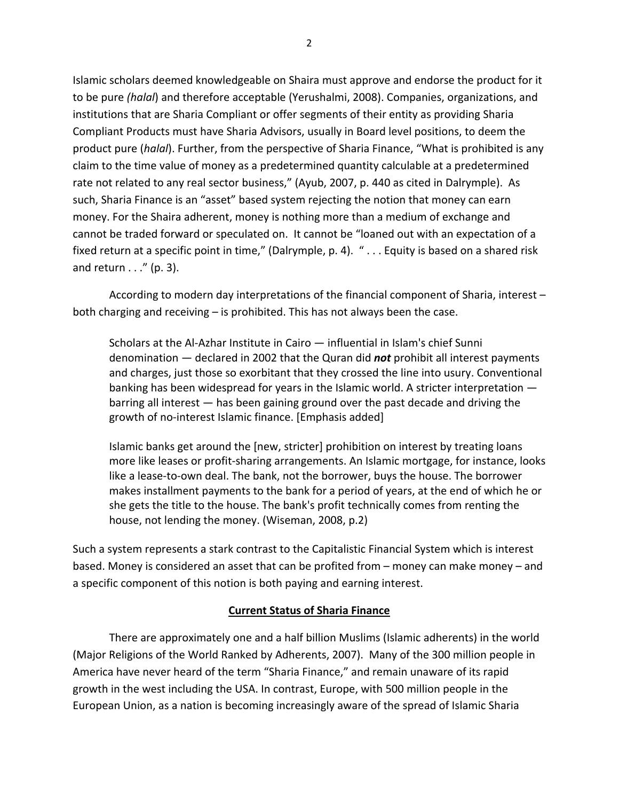Islamic scholars deemed knowledgeable on Shaira must approve and endorse the product for it to be pure *(halal*) and therefore acceptable (Yerushalmi, 2008). Companies, organizations, and institutions that are Sharia Compliant or offer segments of their entity as providing Sharia Compliant Products must have Sharia Advisors, usually in Board level positions, to deem the product pure (*halal*). Further, from the perspective of Sharia Finance, "What is prohibited is any claim to the time value of money as a predetermined quantity calculable at a predetermined rate not related to any real sector business," (Ayub, 2007, p. 440 as cited in Dalrymple). As such, Sharia Finance is an "asset" based system rejecting the notion that money can earn money. For the Shaira adherent, money is nothing more than a medium of exchange and cannot be traded forward or speculated on. It cannot be "loaned out with an expectation of a fixed return at a specific point in time," (Dalrymple, p. 4). " . . . Equity is based on a shared risk and return  $\ldots$ " (p. 3).

According to modern day interpretations of the financial component of Sharia, interest – both charging and receiving – is prohibited. This has not always been the case.

Scholars at the Al‐Azhar Institute in Cairo — influential in Islam's chief Sunni denomination — declared in 2002 that the Quran did *not* prohibit all interest payments and charges, just those so exorbitant that they crossed the line into usury. Conventional banking has been widespread for years in the Islamic world. A stricter interpretation barring all interest — has been gaining ground over the past decade and driving the growth of no‐interest Islamic finance. [Emphasis added]

Islamic banks get around the [new, stricter] prohibition on interest by treating loans more like leases or profit‐sharing arrangements. An Islamic mortgage, for instance, looks like a lease‐to‐own deal. The bank, not the borrower, buys the house. The borrower makes installment payments to the bank for a period of years, at the end of which he or she gets the title to the house. The bank's profit technically comes from renting the house, not lending the money. (Wiseman, 2008, p.2)

Such a system represents a stark contrast to the Capitalistic Financial System which is interest based. Money is considered an asset that can be profited from – money can make money – and a specific component of this notion is both paying and earning interest.

### **Current Status of Sharia Finance**

There are approximately one and a half billion Muslims (Islamic adherents) in the world (Major Religions of the World Ranked by Adherents, 2007). Many of the 300 million people in America have never heard of the term "Sharia Finance," and remain unaware of its rapid growth in the west including the USA. In contrast, Europe, with 500 million people in the European Union, as a nation is becoming increasingly aware of the spread of Islamic Sharia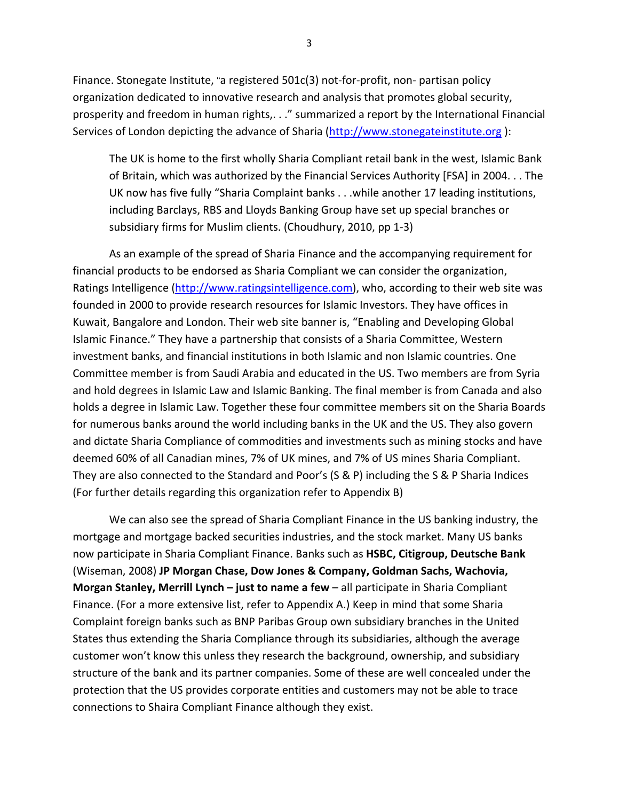Finance. Stonegate Institute, "a registered 501c(3) not-for-profit, non- partisan policy organization dedicated to innovative research and analysis that promotes global security, prosperity and freedom in human rights,. . ." summarized a report by the International Financial Services of London depicting the advance of Sharia ([http://www.stonegateinstitute.org](http://www.stonegateinstitute.org/) ):

The UK is home to the first wholly Sharia Compliant retail bank in the west, Islamic Bank of Britain, which was authorized by the Financial Services Authority [FSA] in 2004. . . The UK now has five fully "Sharia Complaint banks . . .while another 17 leading institutions, including Barclays, RBS and Lloyds Banking Group have set up special branches or subsidiary firms for Muslim clients. (Choudhury, 2010, pp 1‐3)

As an example of the spread of Sharia Finance and the accompanying requirement for financial products to be endorsed as Sharia Compliant we can consider the organization, Ratings Intelligence [\(http://www.ratingsintelligence.com\)](http://www.ratingsintelligence.com/), who, according to their web site was founded in 2000 to provide research resources for Islamic Investors. They have offices in Kuwait, Bangalore and London. Their web site banner is, "Enabling and Developing Global Islamic Finance." They have a partnership that consists of a Sharia Committee, Western investment banks, and financial institutions in both Islamic and non Islamic countries. One Committee member is from Saudi Arabia and educated in the US. Two members are from Syria and hold degrees in Islamic Law and Islamic Banking. The final member is from Canada and also holds a degree in Islamic Law. Together these four committee members sit on the Sharia Boards for numerous banks around the world including banks in the UK and the US. They also govern and dictate Sharia Compliance of commodities and investments such as mining stocks and have deemed 60% of all Canadian mines, 7% of UK mines, and 7% of US mines Sharia Compliant. They are also connected to the Standard and Poor's (S & P) including the S & P Sharia Indices (For further details regarding this organization refer to Appendix B)

We can also see the spread of Sharia Compliant Finance in the US banking industry, the mortgage and mortgage backed securities industries, and the stock market. Many US banks now participate in Sharia Compliant Finance. Banks such as **HSBC, Citigroup, Deutsche Bank** (Wiseman, 2008) **JP Morgan Chase, Dow Jones & Company, Goldman Sachs, Wachovia, Morgan Stanley, Merrill Lynch – just to name a few** – all participate in Sharia Compliant Finance. (For a more extensive list, refer to Appendix A.) Keep in mind that some Sharia Complaint foreign banks such as BNP Paribas Group own subsidiary branches in the United States thus extending the Sharia Compliance through its subsidiaries, although the average customer won't know this unless they research the background, ownership, and subsidiary structure of the bank and its partner companies. Some of these are well concealed under the protection that the US provides corporate entities and customers may not be able to trace connections to Shaira Compliant Finance although they exist.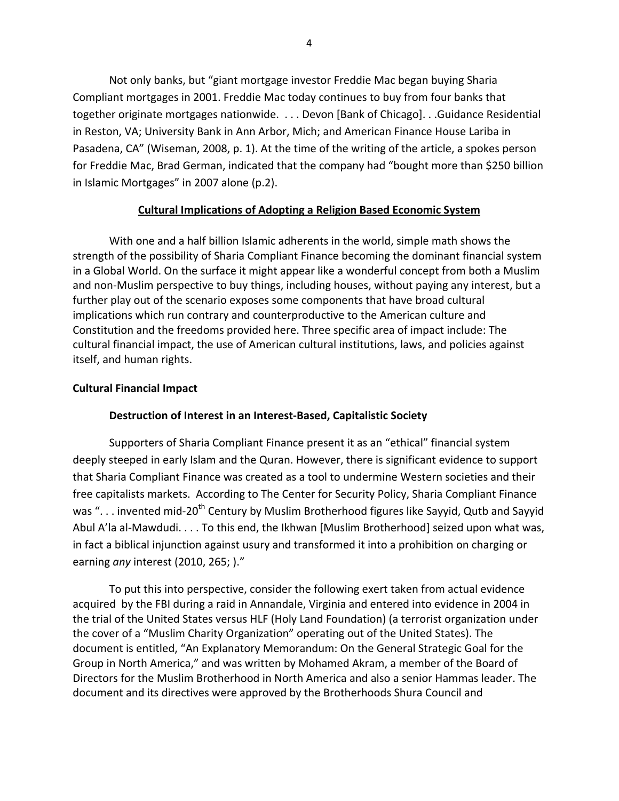Not only banks, but "giant mortgage investor Freddie Mac began buying Sharia Compliant mortgages in 2001. Freddie Mac today continues to buy from four banks that together originate mortgages nationwide. . . . Devon [Bank of Chicago]. . .Guidance Residential in Reston, VA; University Bank in Ann Arbor, Mich; and American Finance House Lariba in Pasadena, CA" (Wiseman, 2008, p. 1). At the time of the writing of the article, a spokes person for Freddie Mac, Brad German, indicated that the company had "bought more than \$250 billion in Islamic Mortgages" in 2007 alone (p.2).

### **Cultural Implications of Adopting a Religion Based Economic System**

With one and a half billion Islamic adherents in the world, simple math shows the strength of the possibility of Sharia Compliant Finance becoming the dominant financial system in a Global World. On the surface it might appear like a wonderful concept from both a Muslim and non‐Muslim perspective to buy things, including houses, without paying any interest, but a further play out of the scenario exposes some components that have broad cultural implications which run contrary and counterproductive to the American culture and Constitution and the freedoms provided here. Three specific area of impact include: The cultural financial impact, the use of American cultural institutions, laws, and policies against itself, and human rights.

#### **Cultural Financial Impact**

#### **Destruction of Interest in an Interest‐Based, Capitalistic Society**

Supporters of Sharia Compliant Finance present it as an "ethical" financial system deeply steeped in early Islam and the Quran. However, there is significant evidence to support that Sharia Compliant Finance was created as a tool to undermine Western societies and their free capitalists markets. According to The Center for Security Policy, Sharia Compliant Finance was ". . . invented mid-20<sup>th</sup> Century by Muslim Brotherhood figures like Sayyid, Qutb and Sayyid Abul A'la al-Mawdudi. . . . To this end, the Ikhwan [Muslim Brotherhood] seized upon what was, in fact a biblical injunction against usury and transformed it into a prohibition on charging or earning *any* interest (2010, 265; )."

To put this into perspective, consider the following exert taken from actual evidence acquired by the FBI during a raid in Annandale, Virginia and entered into evidence in 2004 in the trial of the United States versus HLF (Holy Land Foundation) (a terrorist organization under the cover of a "Muslim Charity Organization" operating out of the United States). The document is entitled, "An Explanatory Memorandum: On the General Strategic Goal for the Group in North America," and was written by Mohamed Akram, a member of the Board of Directors for the Muslim Brotherhood in North America and also a senior Hammas leader. The document and its directives were approved by the Brotherhoods Shura Council and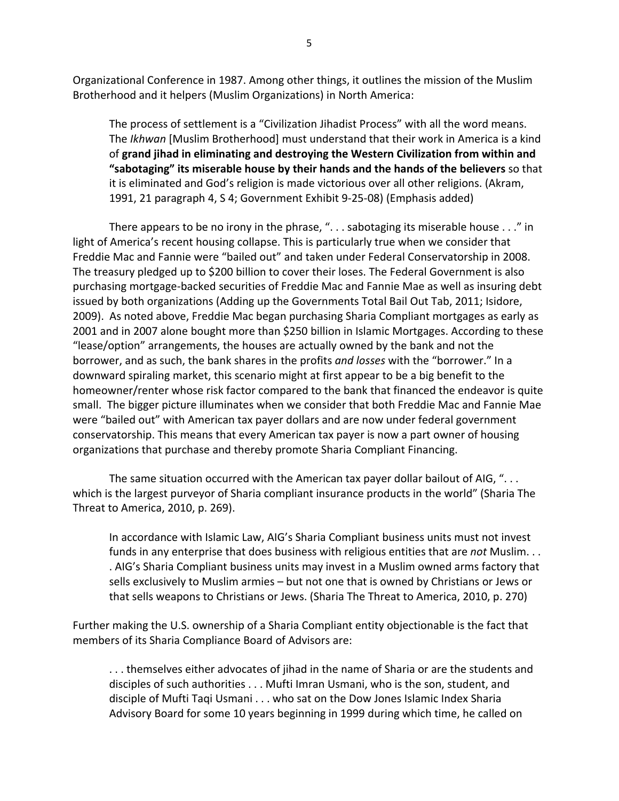Organizational Conference in 1987. Among other things, it outlines the mission of the Muslim Brotherhood and it helpers (Muslim Organizations) in North America:

The process of settlement is a "Civilization Jihadist Process" with all the word means. The *Ikhwan* [Muslim Brotherhood] must understand that their work in America is a kind of **grand jihad in eliminating and destroying the Western Civilization from within and "sabotaging" its miserable house by their hands and the hands of the believers** so that it is eliminated and God's religion is made victorious over all other religions. (Akram, 1991, 21 paragraph 4, S 4; Government Exhibit 9‐25‐08) (Emphasis added)

There appears to be no irony in the phrase, ". . . sabotaging its miserable house . . ." in light of America's recent housing collapse. This is particularly true when we consider that Freddie Mac and Fannie were "bailed out" and taken under Federal Conservatorship in 2008. The treasury pledged up to \$200 billion to cover their loses. The Federal Government is also purchasing mortgage‐backed securities of Freddie Mac and Fannie Mae as well as insuring debt issued by both organizations (Adding up the Governments Total Bail Out Tab, 2011; Isidore, 2009). As noted above, Freddie Mac began purchasing Sharia Compliant mortgages as early as 2001 and in 2007 alone bought more than \$250 billion in Islamic Mortgages. According to these "lease/option" arrangements, the houses are actually owned by the bank and not the borrower, and as such, the bank shares in the profits *and losses* with the "borrower." In a downward spiraling market, this scenario might at first appear to be a big benefit to the homeowner/renter whose risk factor compared to the bank that financed the endeavor is quite small. The bigger picture illuminates when we consider that both Freddie Mac and Fannie Mae were "bailed out" with American tax payer dollars and are now under federal government conservatorship. This means that every American tax payer is now a part owner of housing organizations that purchase and thereby promote Sharia Compliant Financing.

The same situation occurred with the American tax payer dollar bailout of AIG, "... which is the largest purveyor of Sharia compliant insurance products in the world" (Sharia The Threat to America, 2010, p. 269).

In accordance with Islamic Law, AIG's Sharia Compliant business units must not invest funds in any enterprise that does business with religious entities that are *not* Muslim. . . . AIG's Sharia Compliant business units may invest in a Muslim owned arms factory that sells exclusively to Muslim armies – but not one that is owned by Christians or Jews or that sells weapons to Christians or Jews. (Sharia The Threat to America, 2010, p. 270)

Further making the U.S. ownership of a Sharia Compliant entity objectionable is the fact that members of its Sharia Compliance Board of Advisors are:

. . . themselves either advocates of jihad in the name of Sharia or are the students and disciples of such authorities . . . Mufti Imran Usmani, who is the son, student, and disciple of Mufti Taqi Usmani . . . who sat on the Dow Jones Islamic Index Sharia Advisory Board for some 10 years beginning in 1999 during which time, he called on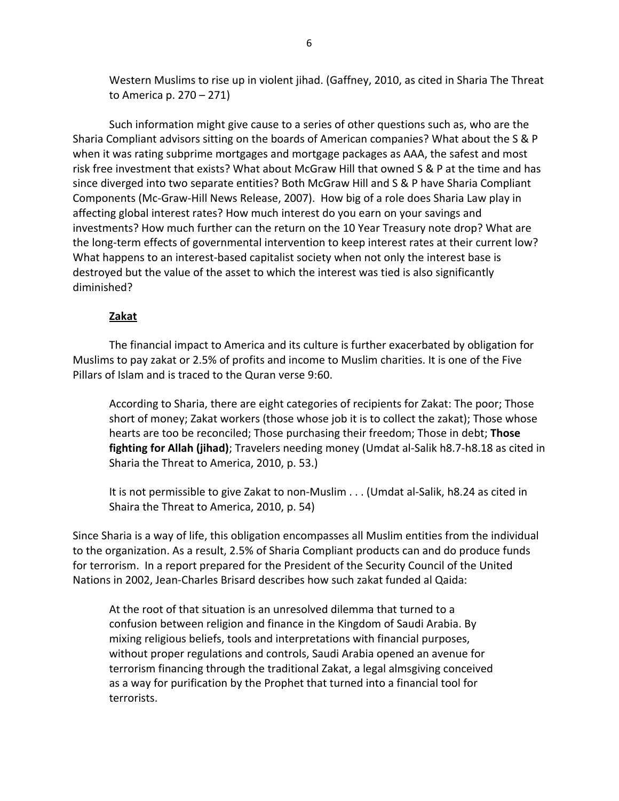Western Muslims to rise up in violent jihad. (Gaffney, 2010, as cited in Sharia The Threat to America p. 270 – 271)

Such information might give cause to a series of other questions such as, who are the Sharia Compliant advisors sitting on the boards of American companies? What about the S & P when it was rating subprime mortgages and mortgage packages as AAA, the safest and most risk free investment that exists? What about McGraw Hill that owned S & P at the time and has since diverged into two separate entities? Both McGraw Hill and S & P have Sharia Compliant Components (Mc‐Graw‐Hill News Release, 2007). How big of a role does Sharia Law play in affecting global interest rates? How much interest do you earn on your savings and investments? How much further can the return on the 10 Year Treasury note drop? What are the long-term effects of governmental intervention to keep interest rates at their current low? What happens to an interest-based capitalist society when not only the interest base is destroyed but the value of the asset to which the interest was tied is also significantly diminished?

### **Zakat**

The financial impact to America and its culture is further exacerbated by obligation for Muslims to pay zakat or 2.5% of profits and income to Muslim charities. It is one of the Five Pillars of Islam and is traced to the Quran verse 9:60.

According to Sharia, there are eight categories of recipients for Zakat: The poor; Those short of money; Zakat workers (those whose job it is to collect the zakat); Those whose hearts are too be reconciled; Those purchasing their freedom; Those in debt; **Those fighting for Allah (jihad)**; Travelers needing money (Umdat al‐Salik h8.7‐h8.18 as cited in Sharia the Threat to America, 2010, p. 53.)

It is not permissible to give Zakat to non-Muslim . . . (Umdat al-Salik, h8.24 as cited in Shaira the Threat to America, 2010, p. 54)

Since Sharia is a way of life, this obligation encompasses all Muslim entities from the individual to the organization. As a result, 2.5% of Sharia Compliant products can and do produce funds for terrorism. In a report prepared for the President of the Security Council of the United Nations in 2002, Jean‐Charles Brisard describes how such zakat funded al Qaida:

At the root of that situation is an unresolved dilemma that turned to a confusion between religion and finance in the Kingdom of Saudi Arabia. By mixing religious beliefs, tools and interpretations with financial purposes, without proper regulations and controls, Saudi Arabia opened an avenue for terrorism financing through the traditional Zakat, a legal almsgiving conceived as a way for purification by the Prophet that turned into a financial tool for terrorists.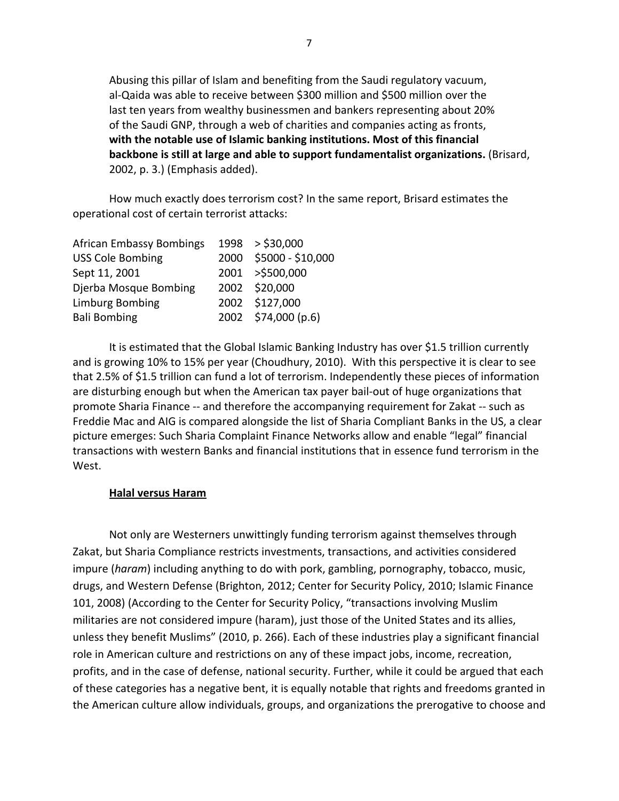Abusing this pillar of Islam and benefiting from the Saudi regulatory vacuum, al‐Qaida was able to receive between \$300 million and \$500 million over the last ten years from wealthy businessmen and bankers representing about 20% of the Saudi GNP, through a web of charities and companies acting as fronts, **with the notable use of Islamic banking institutions. Most of this financial backbone is still at large and able to support fundamentalist organizations.** (Brisard, 2002, p. 3.) (Emphasis added).

How much exactly does terrorism cost? In the same report, Brisard estimates the operational cost of certain terrorist attacks:

| <b>African Embassy Bombings</b> | 1998 > \$30,000        |
|---------------------------------|------------------------|
| <b>USS Cole Bombing</b>         | 2000 \$5000 - \$10,000 |
| Sept 11, 2001                   | 2001 >\$500,000        |
| Djerba Mosque Bombing           | 2002 \$20,000          |
| <b>Limburg Bombing</b>          | 2002 \$127,000         |
| <b>Bali Bombing</b>             | 2002 \$74,000 (p.6)    |

It is estimated that the Global Islamic Banking Industry has over \$1.5 trillion currently and is growing 10% to 15% per year (Choudhury, 2010). With this perspective it is clear to see that 2.5% of \$1.5 trillion can fund a lot of terrorism. Independently these pieces of information are disturbing enough but when the American tax payer bail‐out of huge organizations that promote Sharia Finance ‐‐ and therefore the accompanying requirement for Zakat ‐‐ such as Freddie Mac and AIG is compared alongside the list of Sharia Compliant Banks in the US, a clear picture emerges: Such Sharia Complaint Finance Networks allow and enable "legal" financial transactions with western Banks and financial institutions that in essence fund terrorism in the West.

### **Halal versus Haram**

Not only are Westerners unwittingly funding terrorism against themselves through Zakat, but Sharia Compliance restricts investments, transactions, and activities considered impure (*haram*) including anything to do with pork, gambling, pornography, tobacco, music, drugs, and Western Defense (Brighton, 2012; Center for Security Policy, 2010; Islamic Finance 101, 2008) (According to the Center for Security Policy, "transactions involving Muslim militaries are not considered impure (haram), just those of the United States and its allies, unless they benefit Muslims" (2010, p. 266). Each of these industries play a significant financial role in American culture and restrictions on any of these impact jobs, income, recreation, profits, and in the case of defense, national security. Further, while it could be argued that each of these categories has a negative bent, it is equally notable that rights and freedoms granted in the American culture allow individuals, groups, and organizations the prerogative to choose and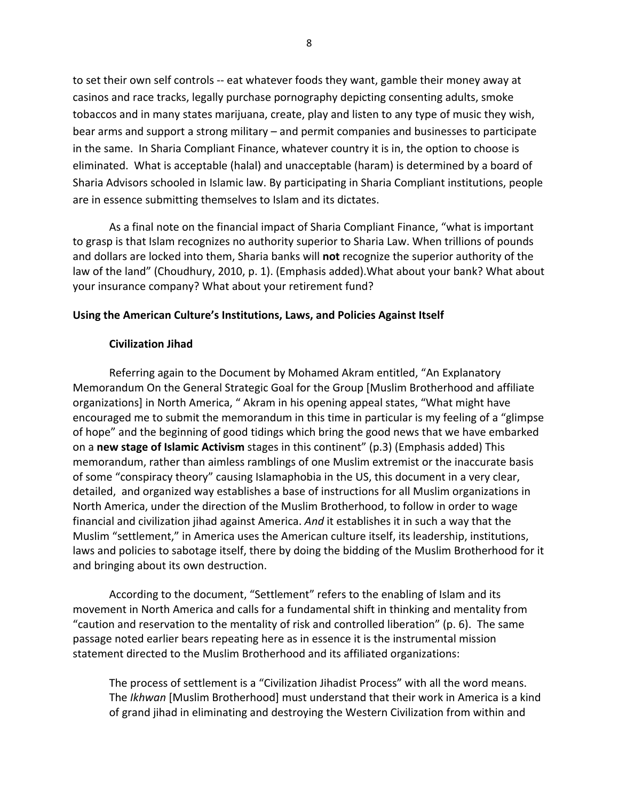to set their own self controls ‐‐ eat whatever foods they want, gamble their money away at casinos and race tracks, legally purchase pornography depicting consenting adults, smoke tobaccos and in many states marijuana, create, play and listen to any type of music they wish, bear arms and support a strong military – and permit companies and businesses to participate in the same. In Sharia Compliant Finance, whatever country it is in, the option to choose is eliminated. What is acceptable (halal) and unacceptable (haram) is determined by a board of Sharia Advisors schooled in Islamic law. By participating in Sharia Compliant institutions, people are in essence submitting themselves to Islam and its dictates.

As a final note on the financial impact of Sharia Compliant Finance, "what is important to grasp is that Islam recognizes no authority superior to Sharia Law. When trillions of pounds and dollars are locked into them, Sharia banks will **not** recognize the superior authority of the law of the land" (Choudhury, 2010, p. 1). (Emphasis added).What about your bank? What about your insurance company? What about your retirement fund?

### **Using the American Culture's Institutions, Laws, and Policies Against Itself**

#### **Civilization Jihad**

Referring again to the Document by Mohamed Akram entitled, "An Explanatory Memorandum On the General Strategic Goal for the Group [Muslim Brotherhood and affiliate organizations] in North America, " Akram in his opening appeal states, "What might have encouraged me to submit the memorandum in this time in particular is my feeling of a "glimpse of hope" and the beginning of good tidings which bring the good news that we have embarked on a **new stage of Islamic Activism** stages in this continent" (p.3) (Emphasis added) This memorandum, rather than aimless ramblings of one Muslim extremist or the inaccurate basis of some "conspiracy theory" causing Islamaphobia in the US, this document in a very clear, detailed, and organized way establishes a base of instructions for all Muslim organizations in North America, under the direction of the Muslim Brotherhood, to follow in order to wage financial and civilization jihad against America. *And* it establishes it in such a way that the Muslim "settlement," in America uses the American culture itself, its leadership, institutions, laws and policies to sabotage itself, there by doing the bidding of the Muslim Brotherhood for it and bringing about its own destruction.

According to the document, "Settlement" refers to the enabling of Islam and its movement in North America and calls for a fundamental shift in thinking and mentality from "caution and reservation to the mentality of risk and controlled liberation" (p. 6). The same passage noted earlier bears repeating here as in essence it is the instrumental mission statement directed to the Muslim Brotherhood and its affiliated organizations:

The process of settlement is a "Civilization Jihadist Process" with all the word means. The *Ikhwan* [Muslim Brotherhood] must understand that their work in America is a kind of grand jihad in eliminating and destroying the Western Civilization from within and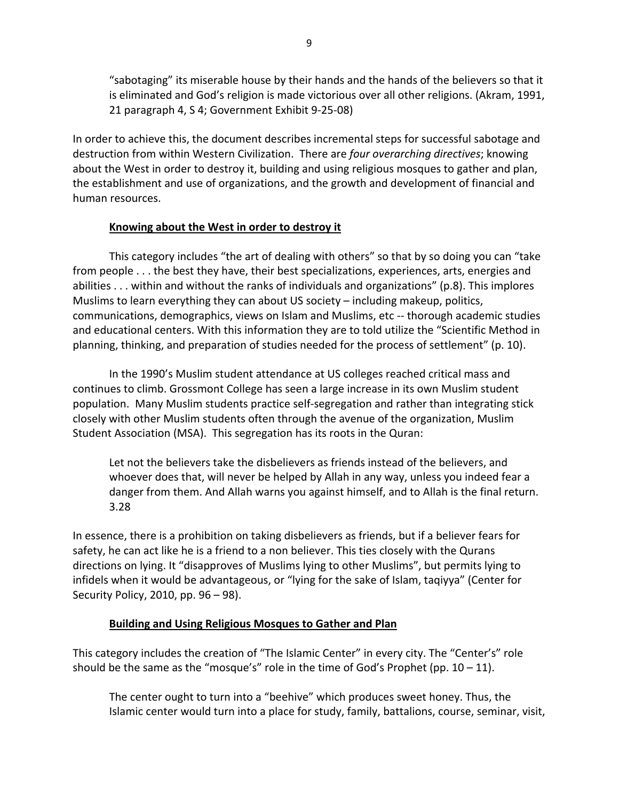"sabotaging" its miserable house by their hands and the hands of the believers so that it is eliminated and God's religion is made victorious over all other religions. (Akram, 1991, 21 paragraph 4, S 4; Government Exhibit 9‐25‐08)

In order to achieve this, the document describes incremental steps for successful sabotage and destruction from within Western Civilization. There are *four overarching directives*; knowing about the West in order to destroy it, building and using religious mosques to gather and plan, the establishment and use of organizations, and the growth and development of financial and human resources.

## **Knowing about the West in order to destroy it**

This category includes "the art of dealing with others" so that by so doing you can "take from people . . . the best they have, their best specializations, experiences, arts, energies and abilities . . . within and without the ranks of individuals and organizations" (p.8). This implores Muslims to learn everything they can about US society – including makeup, politics, communications, demographics, views on Islam and Muslims, etc ‐‐ thorough academic studies and educational centers. With this information they are to told utilize the "Scientific Method in planning, thinking, and preparation of studies needed for the process of settlement" (p. 10).

In the 1990's Muslim student attendance at US colleges reached critical mass and continues to climb. Grossmont College has seen a large increase in its own Muslim student population. Many Muslim students practice self‐segregation and rather than integrating stick closely with other Muslim students often through the avenue of the organization, Muslim Student Association (MSA). This segregation has its roots in the Quran:

Let not the believers take the disbelievers as friends instead of the believers, and whoever does that, will never be helped by Allah in any way, unless you indeed fear a danger from them. And Allah warns you against himself, and to Allah is the final return. 3.28

In essence, there is a prohibition on taking disbelievers as friends, but if a believer fears for safety, he can act like he is a friend to a non believer. This ties closely with the Qurans directions on lying. It "disapproves of Muslims lying to other Muslims", but permits lying to infidels when it would be advantageous, or "lying for the sake of Islam, taqiyya" (Center for Security Policy, 2010, pp. 96 – 98).

## **Building and Using Religious Mosques to Gather and Plan**

This category includes the creation of "The Islamic Center" in every city. The "Center's" role should be the same as the "mosque's" role in the time of God's Prophet (pp.  $10 - 11$ ).

The center ought to turn into a "beehive" which produces sweet honey. Thus, the Islamic center would turn into a place for study, family, battalions, course, seminar, visit,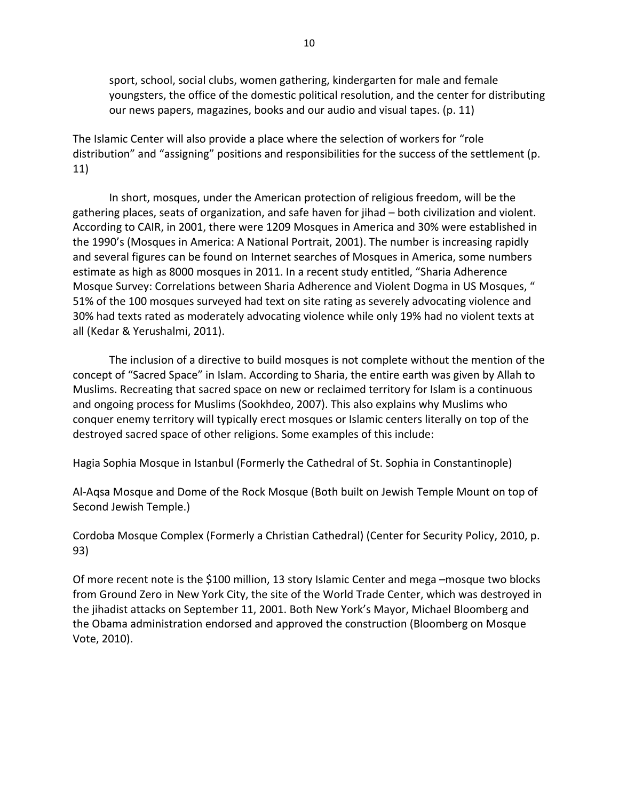sport, school, social clubs, women gathering, kindergarten for male and female youngsters, the office of the domestic political resolution, and the center for distributing our news papers, magazines, books and our audio and visual tapes. (p. 11)

The Islamic Center will also provide a place where the selection of workers for "role distribution" and "assigning" positions and responsibilities for the success of the settlement (p. 11)

In short, mosques, under the American protection of religious freedom, will be the gathering places, seats of organization, and safe haven for jihad – both civilization and violent. According to CAIR, in 2001, there were 1209 Mosques in America and 30% were established in the 1990's (Mosques in America: A National Portrait, 2001). The number is increasing rapidly and several figures can be found on Internet searches of Mosques in America, some numbers estimate as high as 8000 mosques in 2011. In a recent study entitled, "Sharia Adherence Mosque Survey: Correlations between Sharia Adherence and Violent Dogma in US Mosques, " 51% of the 100 mosques surveyed had text on site rating as severely advocating violence and 30% had texts rated as moderately advocating violence while only 19% had no violent texts at all (Kedar & Yerushalmi, 2011).

The inclusion of a directive to build mosques is not complete without the mention of the concept of "Sacred Space" in Islam. According to Sharia, the entire earth was given by Allah to Muslims. Recreating that sacred space on new or reclaimed territory for Islam is a continuous and ongoing process for Muslims (Sookhdeo, 2007). This also explains why Muslims who conquer enemy territory will typically erect mosques or Islamic centers literally on top of the destroyed sacred space of other religions. Some examples of this include:

Hagia Sophia Mosque in Istanbul (Formerly the Cathedral of St. Sophia in Constantinople)

Al‐Aqsa Mosque and Dome of the Rock Mosque (Both built on Jewish Temple Mount on top of Second Jewish Temple.)

Cordoba Mosque Complex (Formerly a Christian Cathedral) (Center for Security Policy, 2010, p. 93)

Of more recent note is the \$100 million, 13 story Islamic Center and mega –mosque two blocks from Ground Zero in New York City, the site of the World Trade Center, which was destroyed in the jihadist attacks on September 11, 2001. Both New York's Mayor, Michael Bloomberg and the Obama administration endorsed and approved the construction (Bloomberg on Mosque Vote, 2010).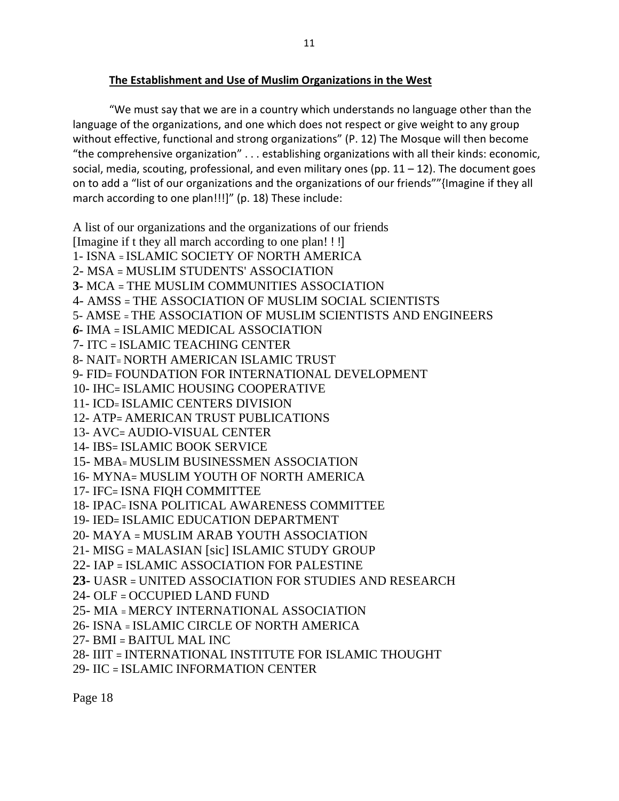## **The Establishment and Use of Muslim Organizations in the West**

"We must say that we are in a country which understands no language other than the language of the organizations, and one which does not respect or give weight to any group without effective, functional and strong organizations" (P. 12) The Mosque will then become "the comprehensive organization" . . . establishing organizations with all their kinds: economic, social, media, scouting, professional, and even military ones (pp.  $11 - 12$ ). The document goes on to add a "list of our organizations and the organizations of our friends""{Imagine if they all march according to one plan!!!]" (p. 18) These include:

A list of our organizations and the organizations of our friends [Imagine if t they all march according to one plan! ! !]

1- ISNA = ISLAMIC SOCIETY OF NORTH AMERICA

2- MSA = MUSLIM STUDENTS' ASSOCIATION

**3-** MCA = THE MUSLIM COMMUNITIES ASSOCIATION

4- AMSS = THE ASSOCIATION OF MUSLIM SOCIAL SCIENTISTS

5- AMSE = THE ASSOCIATION OF MUSLIM SCIENTISTS AND ENGINEERS

- *6-* IMA = ISLAMIC MEDICAL ASSOCIATION
- 7- ITC = ISLAMIC TEACHING CENTER
- 8- NAIT= NORTH AMERICAN ISLAMIC TRUST

9- FID= FOUNDATION FOR INTERNATIONAL DEVELOPMENT

10- IHC= ISLAMIC HOUSING COOPERATIVE

- 11- ICD= ISLAMIC CENTERS DIVISION
- 12- ATP= AMERICAN TRUST PUBLICATIONS
- 13- AVC= AUDIO-VISUAL CENTER
- 14- IBS= ISLAMIC BOOK SERVICE
- 15- MBA= MUSLIM BUSINESSMEN ASSOCIATION
- 16- MYNA= MUSLIM YOUTH OF NORTH AMERICA
- 17- IFC= ISNA FIQH COMMITTEE
- 18- IPAC= ISNA POLITICAL AWARENESS COMMITTEE
- 19- IED= ISLAMIC EDUCATION DEPARTMENT
- 20- MAYA = MUSLIM ARAB YOUTH ASSOCIATION
- 21- MISG = MALASIAN [sic] ISLAMIC STUDY GROUP
- 22- IAP = ISLAMIC ASSOCIATION FOR PALESTINE
- **23-** UASR = UNITED ASSOCIATION FOR STUDIES AND RESEARCH
- 24- OLF = OCCUPIED LAND FUND
- 25- MIA = MERCY INTERNATIONAL ASSOCIATION
- 26- ISNA = ISLAMIC CIRCLE OF NORTH AMERICA
- 27- BMI = BAITUL MAL INC
- 28- IIIT = INTERNATIONAL INSTITUTE FOR ISLAMIC THOUGHT
- 29- IIC = ISLAMIC INFORMATION CENTER

Page 18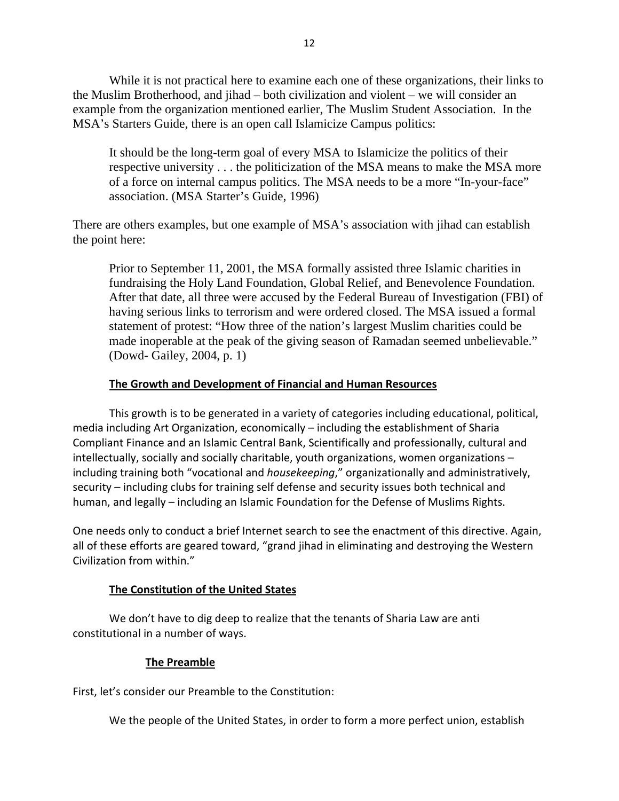While it is not practical here to examine each one of these organizations, their links to the Muslim Brotherhood, and jihad – both civilization and violent – we will consider an example from the organization mentioned earlier, The Muslim Student Association. In the MSA's Starters Guide, there is an open call Islamicize Campus politics:

It should be the long-term goal of every MSA to Islamicize the politics of their respective university . . . the politicization of the MSA means to make the MSA more of a force on internal campus politics. The MSA needs to be a more "In-your-face" association. (MSA Starter's Guide, 1996)

There are others examples, but one example of MSA's association with jihad can establish the point here:

Prior to September 11, 2001, the MSA formally assisted three Islamic charities in fundraising the Holy Land Foundation, Global Relief, and Benevolence Foundation. After that date, all three were accused by the Federal Bureau of Investigation (FBI) of having serious links to terrorism and were ordered closed. The MSA issued a formal statement of protest: "How three of the nation's largest Muslim charities could be made inoperable at the peak of the giving season of Ramadan seemed unbelievable." (Dowd- Gailey, 2004, p. 1)

### **The Growth and Development of Financial and Human Resources**

This growth is to be generated in a variety of categories including educational, political, media including Art Organization, economically – including the establishment of Sharia Compliant Finance and an Islamic Central Bank, Scientifically and professionally, cultural and intellectually, socially and socially charitable, youth organizations, women organizations – including training both "vocational and *housekeeping*," organizationally and administratively, security – including clubs for training self defense and security issues both technical and human, and legally – including an Islamic Foundation for the Defense of Muslims Rights.

One needs only to conduct a brief Internet search to see the enactment of this directive. Again, all of these efforts are geared toward, "grand jihad in eliminating and destroying the Western Civilization from within."

### **The Constitution of the United States**

We don't have to dig deep to realize that the tenants of Sharia Law are anti constitutional in a number of ways.

#### **The Preamble**

First, let's consider our Preamble to the Constitution:

We the people of the United States, in order to form a more perfect union, establish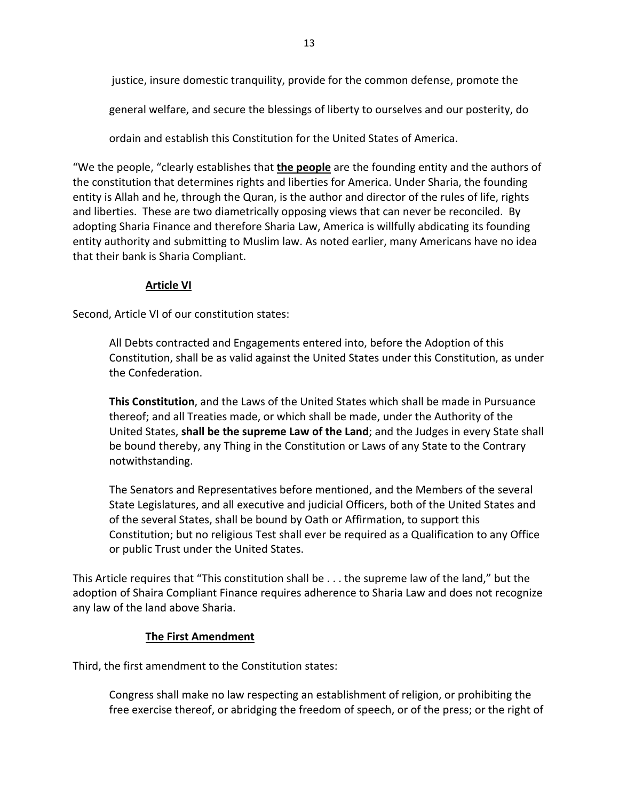justice, insure domestic tranquility, provide for the common defense, promote the

general welfare, and secure the blessings of liberty to ourselves and our posterity, do

ordain and establish this Constitution for the United States of America.

"We the people, "clearly establishes that **the people** are the founding entity and the authors of the constitution that determines rights and liberties for America. Under Sharia, the founding entity is Allah and he, through the Quran, is the author and director of the rules of life, rights and liberties. These are two diametrically opposing views that can never be reconciled. By adopting Sharia Finance and therefore Sharia Law, America is willfully abdicating its founding entity authority and submitting to Muslim law. As noted earlier, many Americans have no idea that their bank is Sharia Compliant.

### **Article VI**

Second, Article VI of our constitution states:

All Debts contracted and Engagements entered into, before the Adoption of this Constitution, shall be as valid against the United States under this Constitution, as under the Confederation.

**This Constitution**, and the Laws of the United States which shall be made in Pursuance thereof; and all Treaties made, or which shall be made, under the Authority of the United States, **shall be the supreme Law of the Land**; and the Judges in every State shall be bound thereby, any Thing in the Constitution or Laws of any State to the Contrary notwithstanding.

The Senators and Representatives before mentioned, and the Members of the several State Legislatures, and all executive and judicial Officers, both of the United States and of the several States, shall be bound by Oath or Affirmation, to support this Constitution; but no religious Test shall ever be required as a Qualification to any Office or public Trust under the United States.

This Article requires that "This constitution shall be . . . the supreme law of the land," but the adoption of Shaira Compliant Finance requires adherence to Sharia Law and does not recognize any law of the land above Sharia.

### **The First Amendment**

Third, the first amendment to the Constitution states:

Congress shall make no law respecting an establishment of religion, or prohibiting the free exercise thereof, or abridging the freedom of speech, or of the press; or the right of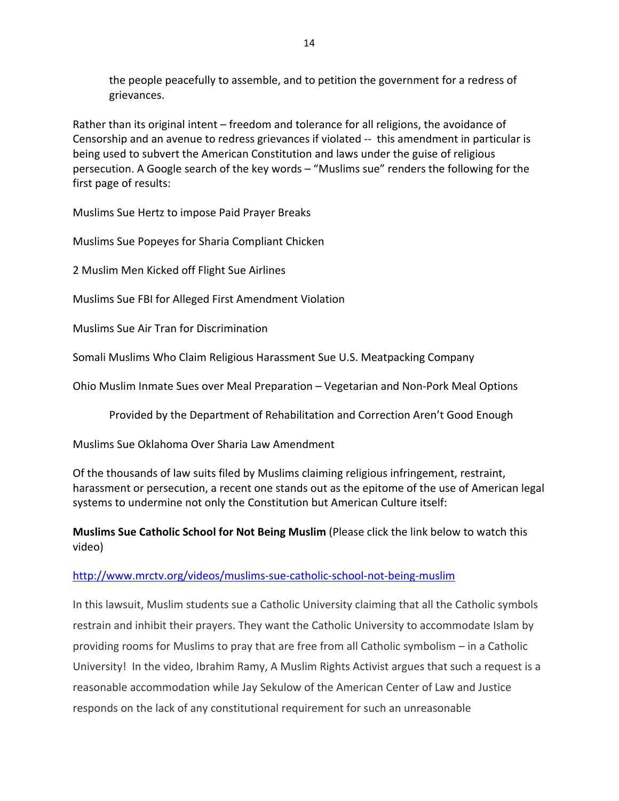the people peacefully to assemble, and to petition the government for a redress of grievances.

Rather than its original intent – freedom and tolerance for all religions, the avoidance of Censorship and an avenue to redress grievances if violated ‐‐ this amendment in particular is being used to subvert the American Constitution and laws under the guise of religious persecution. A Google search of the key words – "Muslims sue" renders the following for the first page of results:

Muslims Sue Hertz to impose Paid Prayer Breaks

Muslims Sue Popeyes for Sharia Compliant Chicken

2 Muslim Men Kicked off Flight Sue Airlines

Muslims Sue FBI for Alleged First Amendment Violation

Muslims Sue Air Tran for Discrimination

Somali Muslims Who Claim Religious Harassment Sue U.S. Meatpacking Company

Ohio Muslim Inmate Sues over Meal Preparation – Vegetarian and Non‐Pork Meal Options

Provided by the Department of Rehabilitation and Correction Aren't Good Enough

Muslims Sue Oklahoma Over Sharia Law Amendment

Of the thousands of law suits filed by Muslims claiming religious infringement, restraint, harassment or persecution, a recent one stands out as the epitome of the use of American legal systems to undermine not only the Constitution but American Culture itself:

**Muslims Sue Catholic School for Not Being Muslim** (Please click the link below to watch this video)

## [http://www.mrctv.org/videos/muslims](http://www.mrctv.org/videos/muslims-sue-catholic-school-not-being-muslim)‐sue‐catholic‐school‐not‐being‐muslim

In this lawsuit, Muslim students sue a Catholic University claiming that all the Catholic symbols restrain and inhibit their prayers. They want the Catholic University to accommodate Islam by providing rooms for Muslims to pray that are free from all Catholic symbolism – in a Catholic University! In the video, Ibrahim Ramy, A Muslim Rights Activist argues that such a request is a reasonable accommodation while Jay Sekulow of the American Center of Law and Justice responds on the lack of any constitutional requirement for such an unreasonable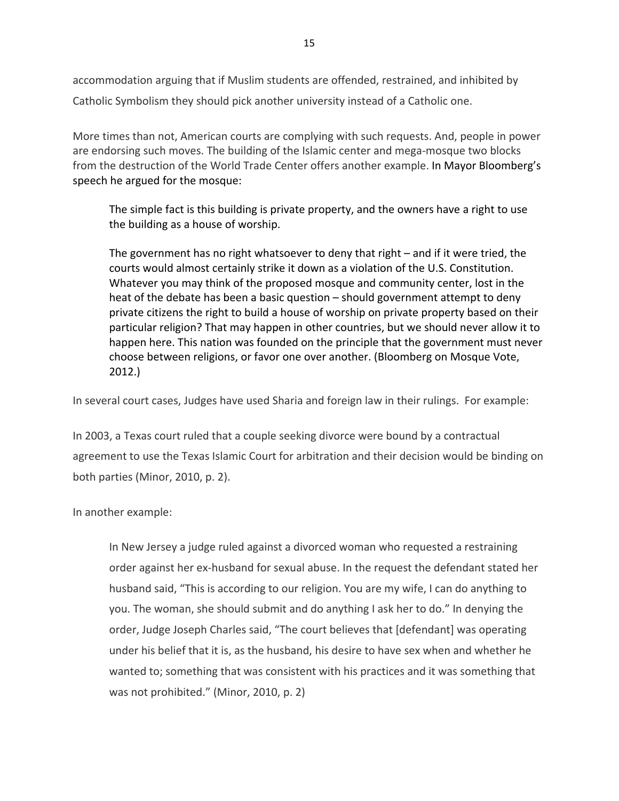accommodation arguing that if Muslim students are offended, restrained, and inhibited by Catholic Symbolism they should pick another university instead of a Catholic one.

More times than not, American courts are complying with such requests. And, people in power are endorsing such moves. The building of the Islamic center and mega-mosque two blocks from the destruction of the World Trade Center offers another example. In Mayor Bloomberg's speech he argued for the mosque:

The simple fact is this building is private property, and the owners have a right to use the building as a house of worship.

The government has no right whatsoever to deny that right – and if it were tried, the courts would almost certainly strike it down as a violation of the U.S. Constitution. Whatever you may think of the proposed mosque and community center, lost in the heat of the debate has been a basic question – should government attempt to deny private citizens the right to build a house of worship on private property based on their particular religion? That may happen in other countries, but we should never allow it to happen here. This nation was founded on the principle that the government must never choose between religions, or favor one over another. (Bloomberg on Mosque Vote, 2012.)

In several court cases, Judges have used Sharia and foreign law in their rulings. For example:

In 2003, a Texas court ruled that a couple seeking divorce were bound by a contractual agreement to use the Texas Islamic Court for arbitration and their decision would be binding on both parties (Minor, 2010, p. 2).

In another example:

In New Jersey a judge ruled against a divorced woman who requested a restraining order against her ex‐husband for sexual abuse. In the request the defendant stated her husband said, "This is according to our religion. You are my wife, I can do anything to you. The woman, she should submit and do anything I ask her to do." In denying the order, Judge Joseph Charles said, "The court believes that [defendant] was operating under his belief that it is, as the husband, his desire to have sex when and whether he wanted to; something that was consistent with his practices and it was something that was not prohibited." (Minor, 2010, p. 2)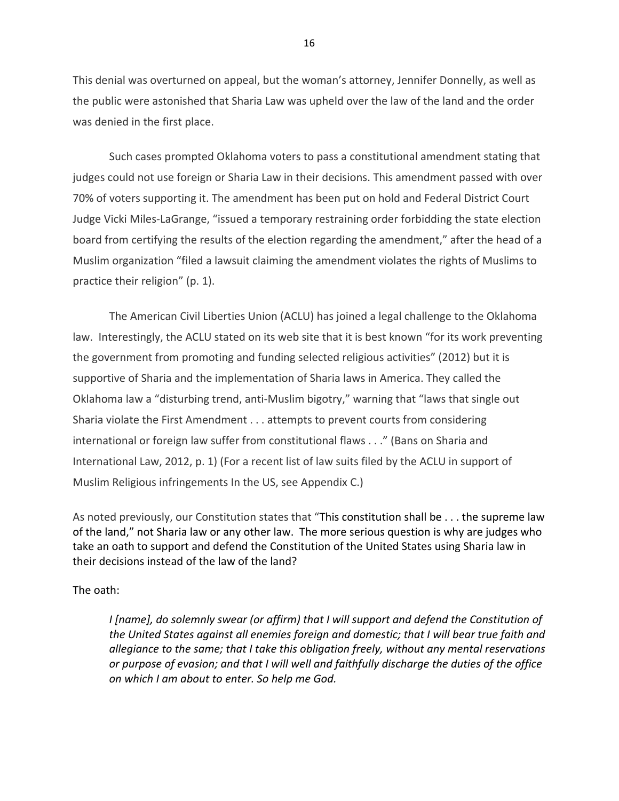This denial was overturned on appeal, but the woman's attorney, Jennifer Donnelly, as well as the public were astonished that Sharia Law was upheld over the law of the land and the order was denied in the first place.

Such cases prompted Oklahoma voters to pass a constitutional amendment stating that judges could not use foreign or Sharia Law in their decisions. This amendment passed with over 70% of voters supporting it. The amendment has been put on hold and Federal District Court Judge Vicki Miles‐LaGrange, "issued a temporary restraining order forbidding the state election board from certifying the results of the election regarding the amendment," after the head of a Muslim organization "filed a lawsuit claiming the amendment violates the rights of Muslims to practice their religion" (p. 1).

The American Civil Liberties Union (ACLU) has joined a legal challenge to the Oklahoma law. Interestingly, the ACLU stated on its web site that it is best known "for its work preventing the government from promoting and funding selected religious activities" (2012) but it is supportive of Sharia and the implementation of Sharia laws in America. They called the Oklahoma law a "disturbing trend, anti‐Muslim bigotry," warning that "laws that single out Sharia violate the First Amendment . . . attempts to prevent courts from considering international or foreign law suffer from constitutional flaws . . ." (Bans on Sharia and International Law, 2012, p. 1) (For a recent list of law suits filed by the ACLU in support of Muslim Religious infringements In the US, see Appendix C.)

As noted previously, our Constitution states that "This constitution shall be . . . the supreme law of the land," not Sharia law or any other law. The more serious question is why are judges who take an oath to support and defend the Constitution of the United States using Sharia law in their decisions instead of the law of the land?

The oath:

*I [name], do solemnly swear (or affirm) that I will support and defend the Constitution of the United States against all enemies foreign and domestic; that I will bear true faith and allegiance to the same; that I take this obligation freely, without any mental reservations or purpose of evasion; and that I will well and faithfully discharge the duties of the office on which I am about to enter. So help me God.*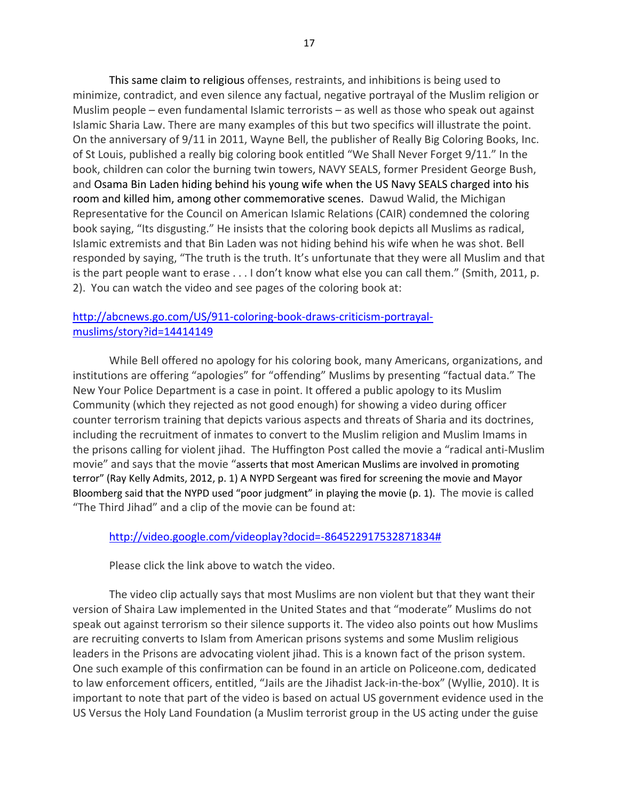This same claim to religious offenses, restraints, and inhibitions is being used to minimize, contradict, and even silence any factual, negative portrayal of the Muslim religion or Muslim people – even fundamental Islamic terrorists – as well as those who speak out against Islamic Sharia Law. There are many examples of this but two specifics will illustrate the point. On the anniversary of 9/11 in 2011, Wayne Bell, the publisher of Really Big Coloring Books, Inc. of St Louis, published a really big coloring book entitled "We Shall Never Forget 9/11." In the book, children can color the burning twin towers, NAVY SEALS, former President George Bush, and Osama Bin Laden hiding behind his young wife when the US Navy SEALS charged into his room and killed him, among other commemorative scenes. Dawud Walid, the Michigan Representative for the Council on American Islamic Relations (CAIR) condemned the coloring book saying, "Its disgusting." He insists that the coloring book depicts all Muslims as radical, Islamic extremists and that Bin Laden was not hiding behind his wife when he was shot. Bell responded by saying, "The truth is the truth. It's unfortunate that they were all Muslim and that is the part people want to erase . . . I don't know what else you can call them." (Smith, 2011, p. 2). You can watch the video and see pages of the coloring book at:

## [http://abcnews.go.com/US/911](http://abcnews.go.com/US/911-coloring-book-draws-criticism-portrayal-muslims/story?id=14414149)-coloring-book-draws-criticism-portrayal[muslims/story?id=14414149](http://abcnews.go.com/US/911-coloring-book-draws-criticism-portrayal-muslims/story?id=14414149)

While Bell offered no apology for his coloring book, many Americans, organizations, and institutions are offering "apologies" for "offending" Muslims by presenting "factual data." The New Your Police Department is a case in point. It offered a public apology to its Muslim Community (which they rejected as not good enough) for showing a video during officer counter terrorism training that depicts various aspects and threats of Sharia and its doctrines, including the recruitment of inmates to convert to the Muslim religion and Muslim Imams in the prisons calling for violent jihad. The Huffington Post called the movie a "radical anti‐Muslim movie" and says that the movie "asserts that most American Muslims are involved in promoting terror" (Ray Kelly Admits, 2012, p. 1) A NYPD Sergeant was fired for screening the movie and Mayor Bloomberg said that the NYPD used "poor judgment" in playing the movie (p. 1). The movie is called "The Third Jihad" and a clip of the movie can be found at:

### [http://video.google.com/videoplay?docid=](http://video.google.com/videoplay?docid=-864522917532871834)‐864522917532871834#

Please click the link above to watch the video.

The video clip actually says that most Muslims are non violent but that they want their version of Shaira Law implemented in the United States and that "moderate" Muslims do not speak out against terrorism so their silence supports it. The video also points out how Muslims are recruiting converts to Islam from American prisons systems and some Muslim religious leaders in the Prisons are advocating violent jihad. This is a known fact of the prison system. One such example of this confirmation can be found in an article on Policeone.com, dedicated to law enforcement officers, entitled, "Jails are the Jihadist Jack‐in‐the‐box" (Wyllie, 2010). It is important to note that part of the video is based on actual US government evidence used in the US Versus the Holy Land Foundation (a Muslim terrorist group in the US acting under the guise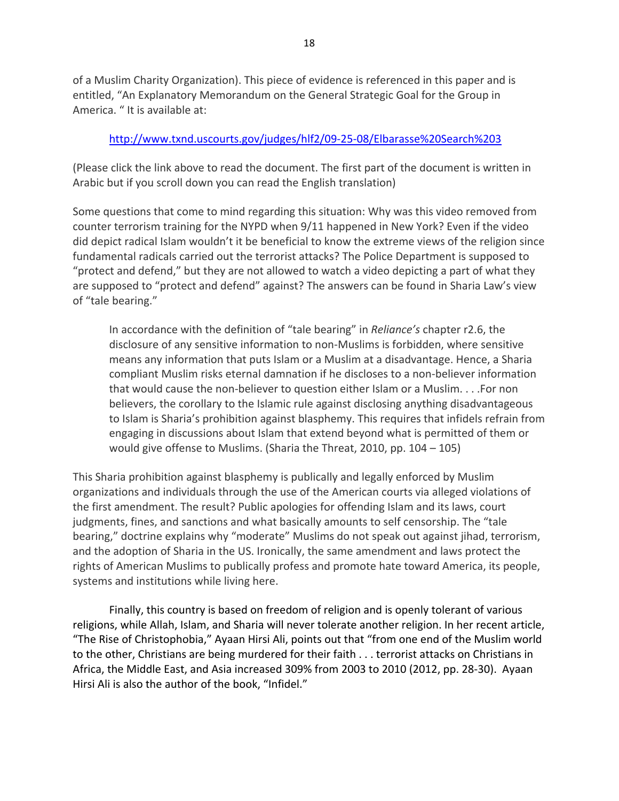of a Muslim Charity Organization). This piece of evidence is referenced in this paper and is entitled, "An Explanatory Memorandum on the General Strategic Goal for the Group in America. " It is available at:

## [http://www.txnd.uscourts.gov/judges/hlf2/09](http://www.txnd.uscourts.gov/judges/hlf2/09-25-08/Elbarasse%20Search%203)‐25‐08/Elbarasse%20Search%203

(Please click the link above to read the document. The first part of the document is written in Arabic but if you scroll down you can read the English translation)

Some questions that come to mind regarding this situation: Why was this video removed from counter terrorism training for the NYPD when 9/11 happened in New York? Even if the video did depict radical Islam wouldn't it be beneficial to know the extreme views of the religion since fundamental radicals carried out the terrorist attacks? The Police Department is supposed to "protect and defend," but they are not allowed to watch a video depicting a part of what they are supposed to "protect and defend" against? The answers can be found in Sharia Law's view of "tale bearing."

In accordance with the definition of "tale bearing" in *Reliance's* chapter r2.6, the disclosure of any sensitive information to non‐Muslims is forbidden, where sensitive means any information that puts Islam or a Muslim at a disadvantage. Hence, a Sharia compliant Muslim risks eternal damnation if he discloses to a non‐believer information that would cause the non-believer to question either Islam or a Muslim. . . . For non believers, the corollary to the Islamic rule against disclosing anything disadvantageous to Islam is Sharia's prohibition against blasphemy. This requires that infidels refrain from engaging in discussions about Islam that extend beyond what is permitted of them or would give offense to Muslims. (Sharia the Threat, 2010, pp. 104 – 105)

This Sharia prohibition against blasphemy is publically and legally enforced by Muslim organizations and individuals through the use of the American courts via alleged violations of the first amendment. The result? Public apologies for offending Islam and its laws, court judgments, fines, and sanctions and what basically amounts to self censorship. The "tale bearing," doctrine explains why "moderate" Muslims do not speak out against jihad, terrorism, and the adoption of Sharia in the US. Ironically, the same amendment and laws protect the rights of American Muslims to publically profess and promote hate toward America, its people, systems and institutions while living here.

Finally, this country is based on freedom of religion and is openly tolerant of various religions, while Allah, Islam, and Sharia will never tolerate another religion. In her recent article, "The Rise of Christophobia," Ayaan Hirsi Ali, points out that "from one end of the Muslim world to the other, Christians are being murdered for their faith . . . terrorist attacks on Christians in Africa, the Middle East, and Asia increased 309% from 2003 to 2010 (2012, pp. 28‐30). Ayaan Hirsi Ali is also the author of the book, "Infidel."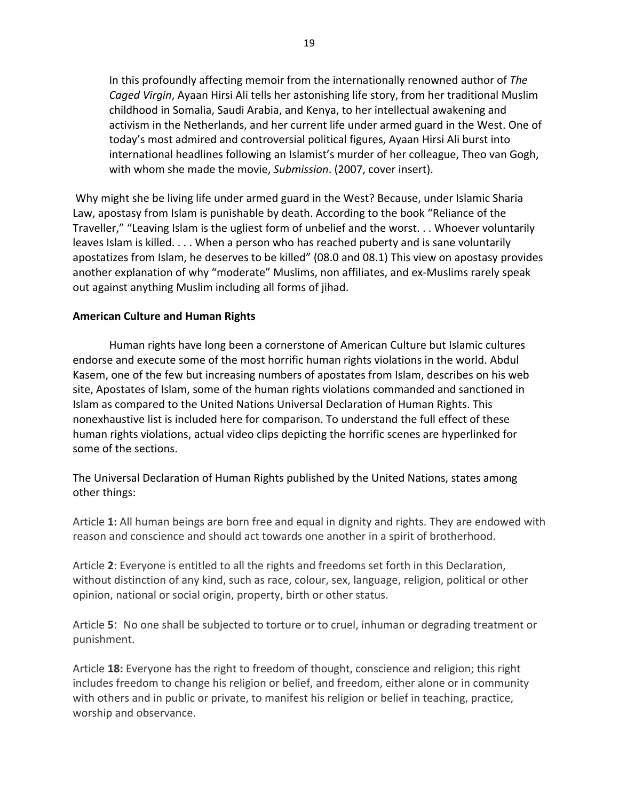In this profoundly affecting memoir from the internationally renowned author of *The Caged Virgin*, Ayaan Hirsi Ali tells her astonishing life story, from her traditional Muslim childhood in Somalia, Saudi Arabia, and Kenya, to her intellectual awakening and activism in the Netherlands, and her current life under armed guard in the West. One of today's most admired and controversial political figures, Ayaan Hirsi Ali burst into international headlines following an Islamist's murder of her colleague, Theo van Gogh, with whom she made the movie, *Submission*. (2007, cover insert).

Why might she be living life under armed guard in the West? Because, under Islamic Sharia Law, apostasy from Islam is punishable by death. According to the book "Reliance of the Traveller," "Leaving Islam is the ugliest form of unbelief and the worst. . . Whoever voluntarily leaves Islam is killed. . . . When a person who has reached puberty and is sane voluntarily apostatizes from Islam, he deserves to be killed" (08.0 and 08.1) This view on apostasy provides another explanation of why "moderate" Muslims, non affiliates, and ex-Muslims rarely speak out against anything Muslim including all forms of jihad.

### **American Culture and Human Rights**

Human rights have long been a cornerstone of American Culture but Islamic cultures endorse and execute some of the most horrific human rights violations in the world. Abdul Kasem, one of the few but increasing numbers of apostates from Islam, describes on his web site, Apostates of Islam, some of the human rights violations commanded and sanctioned in Islam as compared to the United Nations Universal Declaration of Human Rights. This nonexhaustive list is included here for comparison. To understand the full effect of these human rights violations, actual video clips depicting the horrific scenes are hyperlinked for some of the sections.

The Universal Declaration of Human Rights published by the United Nations, states among other things:

Article **1:** All human beings are born free and equal in dignity and rights. They are endowed with reason and conscience and should act towards one another in a spirit of brotherhood.

Article **2**: Everyone is entitled to all the rights and freedoms set forth in this Declaration, without distinction of any kind, such as race, colour, sex, language, religion, political or other opinion, national or social origin, property, birth or other status.

Article **5**: No one shall be subjected to torture or to cruel, inhuman or degrading treatment or punishment.

Article **18:** Everyone has the right to freedom of thought, conscience and religion; this right includes freedom to change his religion or belief, and freedom, either alone or in community with others and in public or private, to manifest his religion or belief in teaching, practice, worship and observance.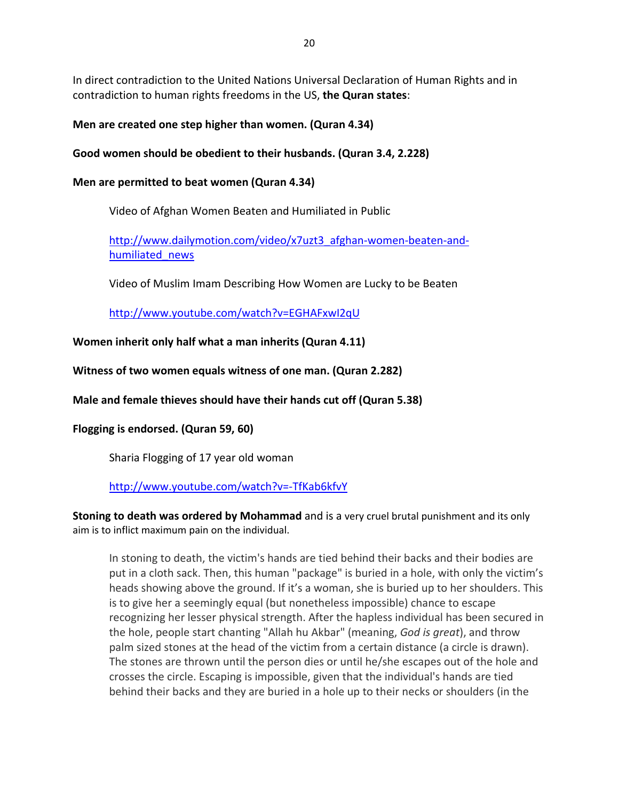In direct contradiction to the United Nations Universal Declaration of Human Rights and in contradiction to human rights freedoms in the US, **the Quran states**:

## **Men are created one step higher than women. (Quran 4.34)**

## **Good women should be obedient to their husbands. (Quran 3.4, 2.228)**

## **Men are permitted to beat women (Quran 4.34)**

Video of Afghan Women Beaten and Humiliated in Public

[http://www.dailymotion.com/video/x7uzt3\\_afghan](http://www.dailymotion.com/video/x7uzt3_afghan-women-beaten-and-humiliated_news)-women-beaten-and[humiliated\\_news](http://www.dailymotion.com/video/x7uzt3_afghan-women-beaten-and-humiliated_news)

Video of Muslim Imam Describing How Women are Lucky to be Beaten

<http://www.youtube.com/watch?v=EGHAFxwI2qU>

**Women inherit only half what a man inherits (Quran 4.11)**

**Witness of two women equals witness of one man. (Quran 2.282)**

**Male and female thieves should have their hands cut off (Quran 5.38)**

**Flogging is endorsed. (Quran 59, 60)**

Sharia Flogging of 17 year old woman

## [http://www.youtube.com/watch?v=](http://www.youtube.com/watch?v=-TfKab6kfvY)‐TfKab6kfvY

**Stoning to death was ordered by Mohammad** and is a very cruel brutal punishment and its only aim is to inflict maximum pain on the individual.

In stoning to death, the victim's hands are tied behind their backs and their bodies are put in a cloth sack. Then, this human "package" is buried in a hole, with only the victim's heads showing above the ground. If it's a woman, she is buried up to her shoulders. This is to give her a seemingly equal (but nonetheless impossible) chance to escape recognizing her lesser physical strength. After the hapless individual has been secured in the hole, people start chanting "Allah hu Akbar" (meaning, *God is great*), and throw palm sized stones at the head of the victim from a certain distance (a circle is drawn). The stones are thrown until the person dies or until he/she escapes out of the hole and crosses the circle. Escaping is impossible, given that the individual's hands are tied behind their backs and they are buried in a hole up to their necks or shoulders (in the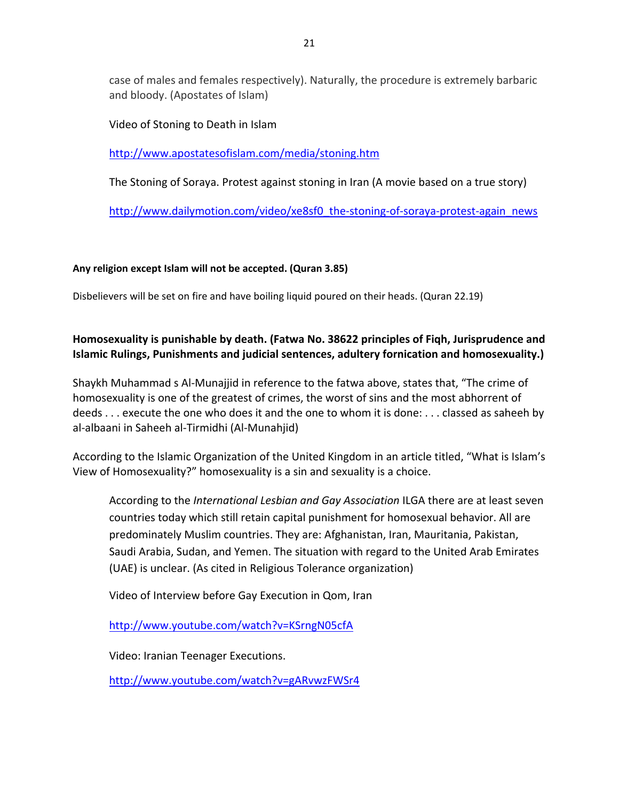case of males and females respectively). Naturally, the procedure is extremely barbaric and bloody. (Apostates of Islam)

Video of Stoning to Death in Islam

<http://www.apostatesofislam.com/media/stoning.htm>

The Stoning of Soraya. Protest against stoning in Iran (A movie based on a true story)

[http://www.dailymotion.com/video/xe8sf0\\_the](http://www.dailymotion.com/video/xe8sf0_the-stoning-of-soraya-protest-again_news)-stoning-of-soraya-protest-again\_news

### **Any religion except Islam will not be accepted. (Quran 3.85)**

Disbelievers will be set on fire and have boiling liquid poured on their heads. (Quran 22.19)

## **Homosexuality is punishable by death. (Fatwa No. 38622 principles of Fiqh, Jurisprudence and Islamic Rulings, Punishments and judicial sentences, adultery fornication and homosexuality.)**

Shaykh Muhammad s Al‐Munajjid in reference to the fatwa above, states that, "The crime of homosexuality is one of the greatest of crimes, the worst of sins and the most abhorrent of deeds . . . execute the one who does it and the one to whom it is done: . . . classed as saheeh by al‐albaani in Saheeh al‐Tirmidhi (Al‐Munahjid)

According to the Islamic Organization of the United Kingdom in an article titled, "What is Islam's View of Homosexuality?" homosexuality is a sin and sexuality is a choice.

According to the *International Lesbian and Gay Association* ILGA there are at least seven countries today which still retain capital punishment for homosexual behavior. All are predominately Muslim countries. They are: Afghanistan, Iran, Mauritania, Pakistan, Saudi Arabia, Sudan, and Yemen. The situation with regard to the United Arab Emirates (UAE) is unclear. (As cited in Religious Tolerance organization)

Video of Interview before Gay Execution in Qom, Iran

<http://www.youtube.com/watch?v=KSrngN05cfA>

Video: Iranian Teenager Executions.

<http://www.youtube.com/watch?v=gARvwzFWSr4>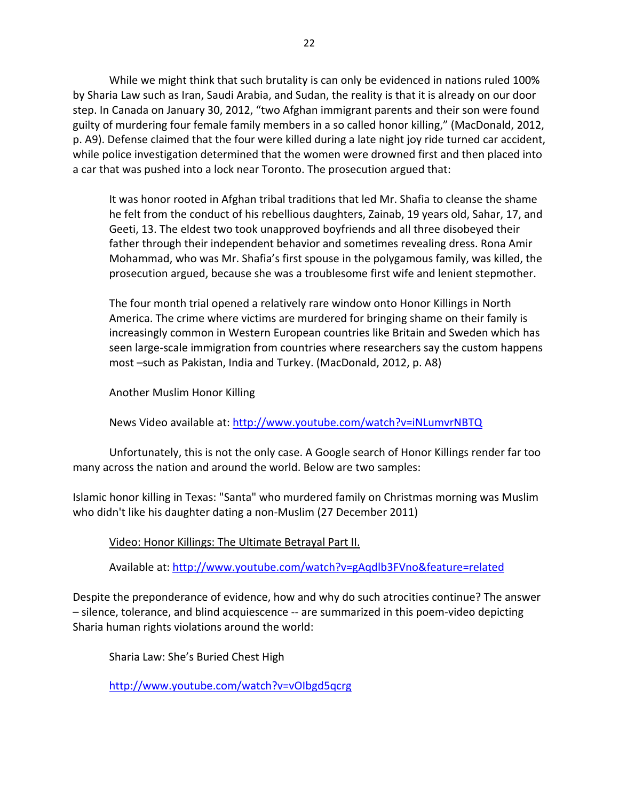While we might think that such brutality is can only be evidenced in nations ruled 100% by Sharia Law such as Iran, Saudi Arabia, and Sudan, the reality is that it is already on our door step. In Canada on January 30, 2012, "two Afghan immigrant parents and their son were found guilty of murdering four female family members in a so called honor killing," (MacDonald, 2012, p. A9). Defense claimed that the four were killed during a late night joy ride turned car accident, while police investigation determined that the women were drowned first and then placed into a car that was pushed into a lock near Toronto. The prosecution argued that:

It was honor rooted in Afghan tribal traditions that led Mr. Shafia to cleanse the shame he felt from the conduct of his rebellious daughters, Zainab, 19 years old, Sahar, 17, and Geeti, 13. The eldest two took unapproved boyfriends and all three disobeyed their father through their independent behavior and sometimes revealing dress. Rona Amir Mohammad, who was Mr. Shafia's first spouse in the polygamous family, was killed, the prosecution argued, because she was a troublesome first wife and lenient stepmother.

The four month trial opened a relatively rare window onto Honor Killings in North America. The crime where victims are murdered for bringing shame on their family is increasingly common in Western European countries like Britain and Sweden which has seen large‐scale immigration from countries where researchers say the custom happens most –such as Pakistan, India and Turkey. (MacDonald, 2012, p. A8)

Another Muslim Honor Killing

News Video available at: <http://www.youtube.com/watch?v=iNLumvrNBTQ>

Unfortunately, this is not the only case. A Google search of Honor Killings render far too many across the nation and around the world. Below are two samples:

Islamic honor killing in Texas: "Santa" who murdered family on Christmas morning was Muslim who didn't like his daughter dating a non‐Muslim (27 December 2011)

Video: Honor Killings: The Ultimate Betrayal Part II.

Available at: <http://www.youtube.com/watch?v=gAqdlb3FVno&feature=related>

Despite the preponderance of evidence, how and why do such atrocities continue? The answer – silence, tolerance, and blind acquiescence ‐‐ are summarized in this poem‐video depicting Sharia human rights violations around the world:

Sharia Law: She's Buried Chest High

<http://www.youtube.com/watch?v=vOIbgd5qcrg>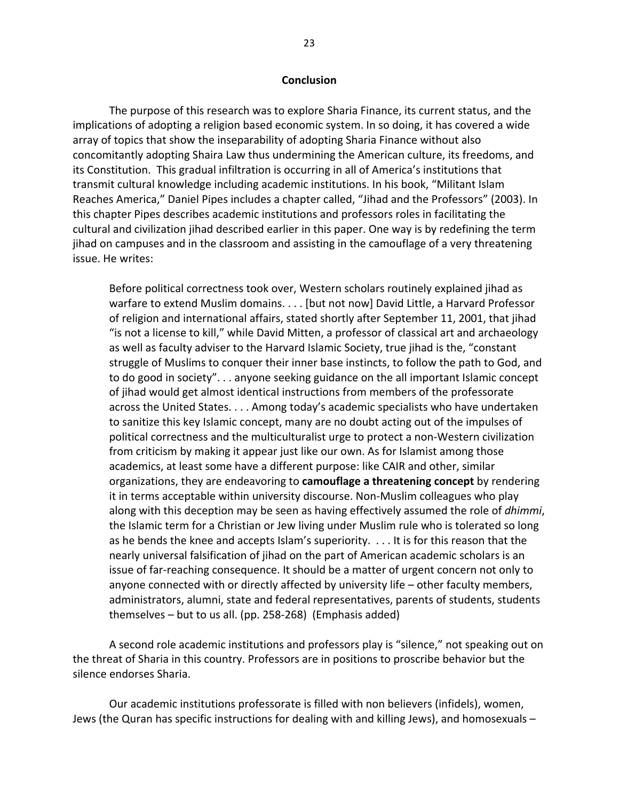#### **Conclusion**

The purpose of this research was to explore Sharia Finance, its current status, and the implications of adopting a religion based economic system. In so doing, it has covered a wide array of topics that show the inseparability of adopting Sharia Finance without also concomitantly adopting Shaira Law thus undermining the American culture, its freedoms, and its Constitution. This gradual infiltration is occurring in all of America's institutions that transmit cultural knowledge including academic institutions. In his book, "Militant Islam Reaches America," Daniel Pipes includes a chapter called, "Jihad and the Professors" (2003). In this chapter Pipes describes academic institutions and professors roles in facilitating the cultural and civilization jihad described earlier in this paper. One way is by redefining the term jihad on campuses and in the classroom and assisting in the camouflage of a very threatening issue. He writes:

Before political correctness took over, Western scholars routinely explained jihad as warfare to extend Muslim domains. . . . [but not now] David Little, a Harvard Professor of religion and international affairs, stated shortly after September 11, 2001, that jihad "is not a license to kill," while David Mitten, a professor of classical art and archaeology as well as faculty adviser to the Harvard Islamic Society, true jihad is the, "constant struggle of Muslims to conquer their inner base instincts, to follow the path to God, and to do good in society". . . anyone seeking guidance on the all important Islamic concept of jihad would get almost identical instructions from members of the professorate across the United States. . . . Among today's academic specialists who have undertaken to sanitize this key Islamic concept, many are no doubt acting out of the impulses of political correctness and the multiculturalist urge to protect a non‐Western civilization from criticism by making it appear just like our own. As for Islamist among those academics, at least some have a different purpose: like CAIR and other, similar organizations, they are endeavoring to **camouflage a threatening concept** by rendering it in terms acceptable within university discourse. Non‐Muslim colleagues who play along with this deception may be seen as having effectively assumed the role of *dhimmi*, the Islamic term for a Christian or Jew living under Muslim rule who is tolerated so long as he bends the knee and accepts Islam's superiority. . . . It is for this reason that the nearly universal falsification of jihad on the part of American academic scholars is an issue of far-reaching consequence. It should be a matter of urgent concern not only to anyone connected with or directly affected by university life – other faculty members, administrators, alumni, state and federal representatives, parents of students, students themselves – but to us all. (pp. 258‐268) (Emphasis added)

A second role academic institutions and professors play is "silence," not speaking out on the threat of Sharia in this country. Professors are in positions to proscribe behavior but the silence endorses Sharia.

Our academic institutions professorate is filled with non believers (infidels), women, Jews (the Quran has specific instructions for dealing with and killing Jews), and homosexuals –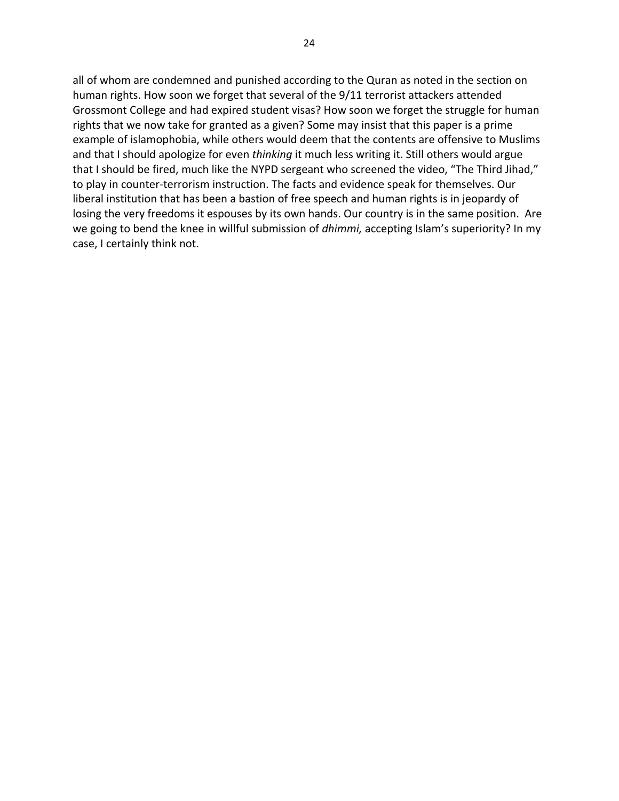all of whom are condemned and punished according to the Quran as noted in the section on human rights. How soon we forget that several of the 9/11 terrorist attackers attended Grossmont College and had expired student visas? How soon we forget the struggle for human rights that we now take for granted as a given? Some may insist that this paper is a prime example of islamophobia, while others would deem that the contents are offensive to Muslims and that I should apologize for even *thinking* it much less writing it. Still others would argue that I should be fired, much like the NYPD sergeant who screened the video, "The Third Jihad," to play in counter‐terrorism instruction. The facts and evidence speak for themselves. Our liberal institution that has been a bastion of free speech and human rights is in jeopardy of losing the very freedoms it espouses by its own hands. Our country is in the same position. Are we going to bend the knee in willful submission of *dhimmi,* accepting Islam's superiority? In my case, I certainly think not.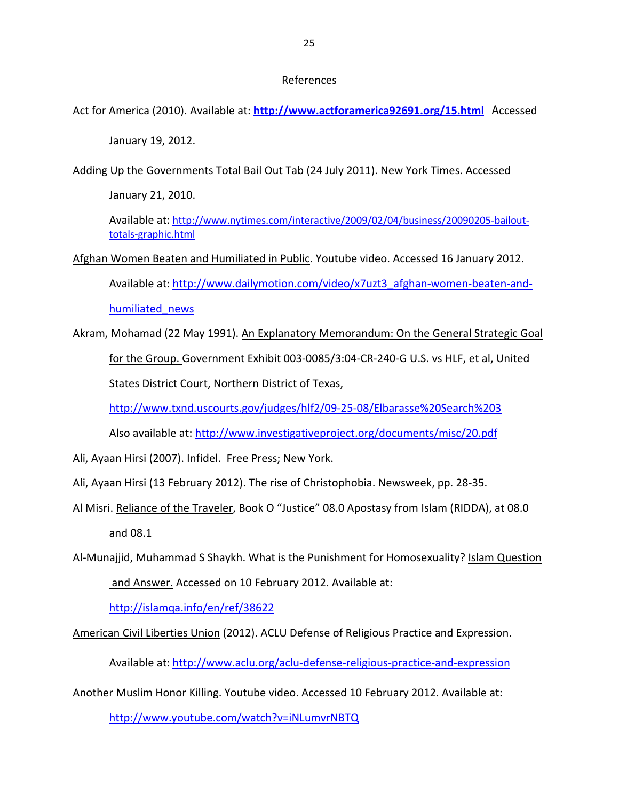Act for America (2010). Available at: **<http://www.actforamerica92691.org/15.html>** Accessed

January 19, 2012.

Adding Up the Governments Total Bail Out Tab (24 July 2011). New York Times. Accessed

January 21, 2010.

Available at: [http://www.nytimes.com/interactive/2009/02/04/business/20090205](http://www.nytimes.com/interactive/2009/02/04/business/20090205-bailout-totals-graphic.html)‐bailout‐ totals‐[graphic.html](http://www.nytimes.com/interactive/2009/02/04/business/20090205-bailout-totals-graphic.html)

Afghan Women Beaten and Humiliated in Public. Youtube video. Accessed 16 January 2012.

Available at: [http://www.dailymotion.com/video/x7uzt3\\_afghan](http://www.dailymotion.com/video/x7uzt3_afghan-women-beaten-and-humiliated_news)-women-beaten-and[humiliated\\_news](http://www.dailymotion.com/video/x7uzt3_afghan-women-beaten-and-humiliated_news)

Akram, Mohamad (22 May 1991). An Explanatory Memorandum: On the General Strategic Goal for the Group. Government Exhibit 003‐0085/3:04‐CR‐240‐G U.S. vs HLF, et al, United States District Court, Northern District of Texas,

[http://www.txnd.uscourts.gov/judges/hlf2/09](http://www.txnd.uscourts.gov/judges/hlf2/09-25-08/Elbarasse%20Search%203)‐25‐08/Elbarasse%20Search%203

Also available at: <http://www.investigativeproject.org/documents/misc/20.pdf>

- Ali, Ayaan Hirsi (2007). Infidel. Free Press; New York.
- Ali, Ayaan Hirsi (13 February 2012). The rise of Christophobia. Newsweek, pp. 28‐35.
- Al Misri. Reliance of the Traveler, Book O "Justice" 08.0 Apostasy from Islam (RIDDA), at 08.0 and 08.1
- Al‐Munajjid, Muhammad S Shaykh. What is the Punishment for Homosexuality? Islam Question and Answer. Accessed on 10 February 2012. Available at:

<http://islamqa.info/en/ref/38622>

American Civil Liberties Union (2012). ACLU Defense of Religious Practice and Expression.

Available at: [http://www.aclu.org/aclu](http://www.aclu.org/aclu-defense-religious-practice-and-expression)‐defense‐religious‐practice‐and‐expression

Another Muslim Honor Killing. Youtube video. Accessed 10 February 2012. Available at:

<http://www.youtube.com/watch?v=iNLumvrNBTQ>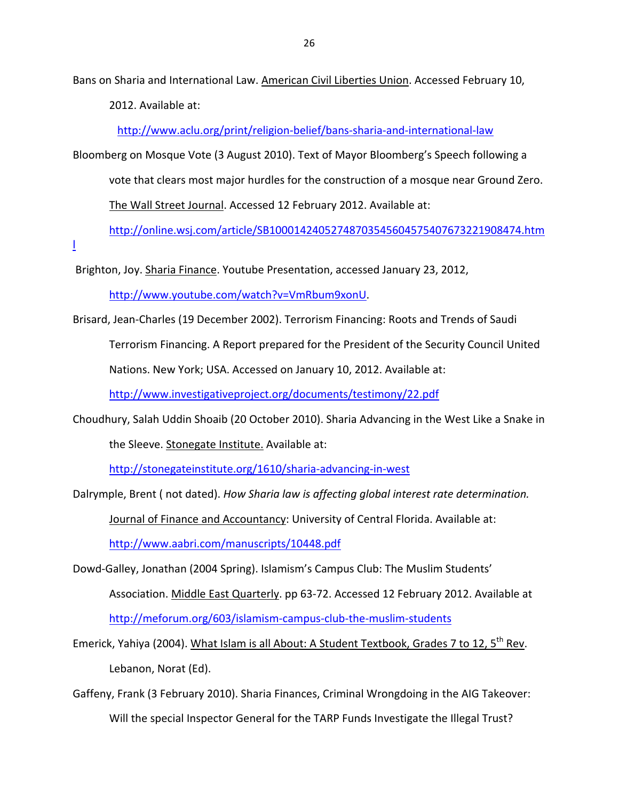Bans on Sharia and International Law. American Civil Liberties Union. Accessed February 10,

2012. Available at:

[http://www.aclu.org/print/religion](http://www.aclu.org/print/religion-belief/bans-sharia-and-international-law)‐belief/bans‐sharia‐and‐international‐law

Bloomberg on Mosque Vote (3 August 2010). Text of Mayor Bloomberg's Speech following a vote that clears most major hurdles for the construction of a mosque near Ground Zero. The Wall Street Journal. Accessed 12 February 2012. Available at:

[http://online.wsj.com/article/SB10001424052748703545604575407673221908474.htm](http://online.wsj.com/article/SB10001424052748703545604575407673221908474.html)

[l](http://online.wsj.com/article/SB10001424052748703545604575407673221908474.html)

Brighton, Joy. Sharia Finance. Youtube Presentation, accessed January 23, 2012,

[http://www.youtube.com/watch?v=VmRbum9xonU.](http://www.youtube.com/watch?v=VmRbum9xonU)

Brisard, Jean‐Charles (19 December 2002). Terrorism Financing: Roots and Trends of Saudi Terrorism Financing. A Report prepared for the President of the Security Council United Nations. New York; USA. Accessed on January 10, 2012. Available at:

<http://www.investigativeproject.org/documents/testimony/22.pdf>

Choudhury, Salah Uddin Shoaib (20 October 2010). Sharia Advancing in the West Like a Snake in the Sleeve. Stonegate Institute. Available at:

[http://stonegateinstitute.org/1610/sharia](http://stonegateinstitute.org/1610/sharia-advancing-in-west)‐advancing‐in‐west

Dalrymple, Brent ( not dated). *How Sharia law is affecting global interest rate determination.*

Journal of Finance and Accountancy: University of Central Florida. Available at:

<http://www.aabri.com/manuscripts/10448.pdf>

- Dowd‐Galley, Jonathan (2004 Spring). Islamism's Campus Club: The Muslim Students' Association. Middle East Quarterly. pp 63‐72. Accessed 12 February 2012. Available at [http://meforum.org/603/islamism](http://meforum.org/603/islamism-campus-club-the-muslim-students)-campus-club-the-muslim-students
- Emerick, Yahiya (2004). What Islam is all About: A Student Textbook, Grades 7 to 12, 5<sup>th</sup> Rev. Lebanon, Norat (Ed).
- Gaffeny, Frank (3 February 2010). Sharia Finances, Criminal Wrongdoing in the AIG Takeover: Will the special Inspector General for the TARP Funds Investigate the Illegal Trust?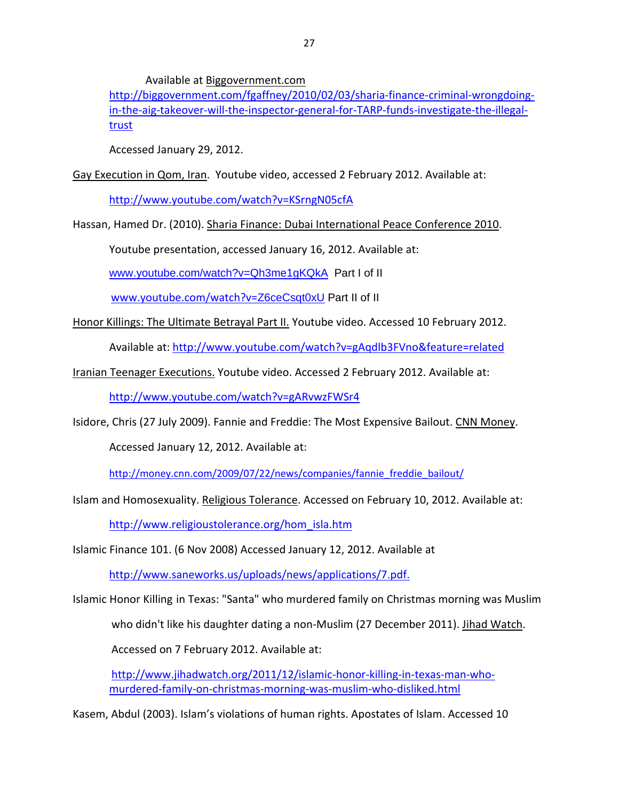Available at Biggovernment.com

[http://biggovernment.com/fgaffney/2010/02/03/sharia](http://biggovernment.com/fgaffney/2010/02/03/sharia-finance-criminal-wrongdoing-in-the-aig-takeover-will-the-inspector-general-for-TARP-funds-investigate-the-illegal-trust)-finance-criminal-wrongdoingin-the-aig-takeover-will-the-inspector-general-for-TARP-funds-[investigate](http://biggovernment.com/fgaffney/2010/02/03/sharia-finance-criminal-wrongdoing-in-the-aig-takeover-will-the-inspector-general-for-TARP-funds-investigate-the-illegal-trust)-the-illegal[trust](http://biggovernment.com/fgaffney/2010/02/03/sharia-finance-criminal-wrongdoing-in-the-aig-takeover-will-the-inspector-general-for-TARP-funds-investigate-the-illegal-trust)

Accessed January 29, 2012.

Gay Execution in Qom, Iran. Youtube video, accessed 2 February 2012. Available at:

<http://www.youtube.com/watch?v=KSrngN05cfA>

Hassan, Hamed Dr. (2010). Sharia Finance: Dubai International Peace Conference 2010.

Youtube presentation, accessed January 16, 2012. Available at:

[www.youtube.com/watch?v=Qh3me1gKQkA](http://www.youtube.com/watch?v=Qh3me1gKQkA) Part I of II

[www.youtube.com/watch?v=](http://www.youtube.com/watch?v=Z6ceCsqt0xU)Z6ceCsqt0xU Part II of II

Honor Killings: The Ultimate Betrayal Part II. Youtube video. Accessed 10 February 2012.

Available at: <http://www.youtube.com/watch?v=gAqdlb3FVno&feature=related>

Iranian Teenager Executions. Youtube video. Accessed 2 February 2012. Available at:

<http://www.youtube.com/watch?v=gARvwzFWSr4>

Isidore, Chris (27 July 2009). Fannie and Freddie: The Most Expensive Bailout. CNN Money.

Accessed January 12, 2012. Available at:

[http://money.cnn.com/2009/07/22/news/companies/fannie\\_freddie\\_bailout/](http://money.cnn.com/2009/07/22/news/companies/fannie_freddie_bailout/)

Islam and Homosexuality. Religious Tolerance. Accessed on February 10, 2012. Available at:

[http://www.religioustolerance.org/hom\\_isla.htm](http://www.religioustolerance.org/hom_isla.htm)

Islamic Finance 101. (6 Nov 2008) Accessed January 12, 2012. Available at

<http://www.saneworks.us/uploads/news/applications/7.pdf.>

Islamic Honor Killing in Texas: "Santa" who murdered family on Christmas morning was Muslim

who didn't like his daughter dating a non‐Muslim (27 December 2011). Jihad Watch.

Accessed on 7 February 2012. Available at:

[http://www.jihadwatch.org/2011/12/islamic](http://www.jihadwatch.org/2011/12/islamic-honor-killing-in-texas-man-who-murdered-family-on-christmas-morning-was-muslim-who-disliked.html)-honor-killing-in-texas-man-whomurdered‐family‐on‐christmas‐morning‐was‐muslim‐who‐[disliked.html](http://www.jihadwatch.org/2011/12/islamic-honor-killing-in-texas-man-who-murdered-family-on-christmas-morning-was-muslim-who-disliked.html)

Kasem, Abdul (2003). Islam's violations of human rights. Apostates of Islam. Accessed 10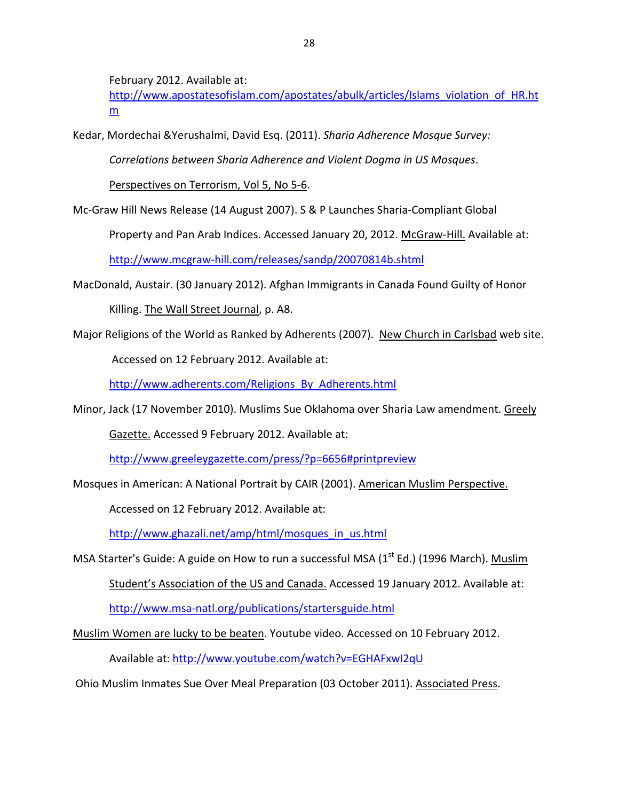February 2012. Available at:

[http://www.apostatesofislam.com/apostates/abulk/articles/Islams\\_violation\\_of\\_HR.ht](http://www.apostatesofislam.com/apostates/abulk/articles/Islams_violation_of_HR.htm) [m](http://www.apostatesofislam.com/apostates/abulk/articles/Islams_violation_of_HR.htm)

Kedar, Mordechai &Yerushalmi, David Esq. (2011). *Sharia Adherence Mosque Survey:* 

*Correlations between Sharia Adherence and Violent Dogma in US Mosques*.

Perspectives on Terrorism, Vol 5, No 5‐6.

Mc‐Graw Hill News Release (14 August 2007). S & P Launches Sharia‐Compliant Global

Property and Pan Arab Indices. Accessed January 20, 2012. McGraw‐Hill. Available at:

http://www.mcgraw‐[hill.com/releases/sandp/20070814b.shtml](http://www.mcgraw-hill.com/releases/sandp/20070814b.shtml)

- MacDonald, Austair. (30 January 2012). Afghan Immigrants in Canada Found Guilty of Honor Killing. The Wall Street Journal, p. A8.
- Major Religions of the World as Ranked by Adherents (2007). New Church in Carlsbad web site.

Accessed on 12 February 2012. Available at:

[http://www.adherents.com/Religions\\_By\\_Adherents.html](http://www.adherents.com/Religions_By_Adherents.html)

Minor, Jack (17 November 2010). Muslims Sue Oklahoma over Sharia Law amendment. Greely

Gazette. Accessed 9 February 2012. Available at:

<http://www.greeleygazette.com/press/?p=6656#printpreview>

Mosques in American: A National Portrait by CAIR (2001). American Muslim Perspective.

Accessed on 12 February 2012. Available at:

[http://www.ghazali.net/amp/html/mosques\\_in\\_us.html](http://www.ghazali.net/amp/html/mosques_in_us.html)

MSA Starter's Guide: A guide on How to run a successful MSA ( $1<sup>st</sup> Ed$ .) (1996 March). Muslim Student's Association of the US and Canada. Accessed 19 January 2012. Available at:

http://www.msa‐[natl.org/publications/startersguide.html](http://www.msa-natl.org/publications/startersguide.html)

Muslim Women are lucky to be beaten. Youtube video. Accessed on 10 February 2012.

Available at: <http://www.youtube.com/watch?v=EGHAFxwI2qU>

Ohio Muslim Inmates Sue Over Meal Preparation (03 October 2011). Associated Press.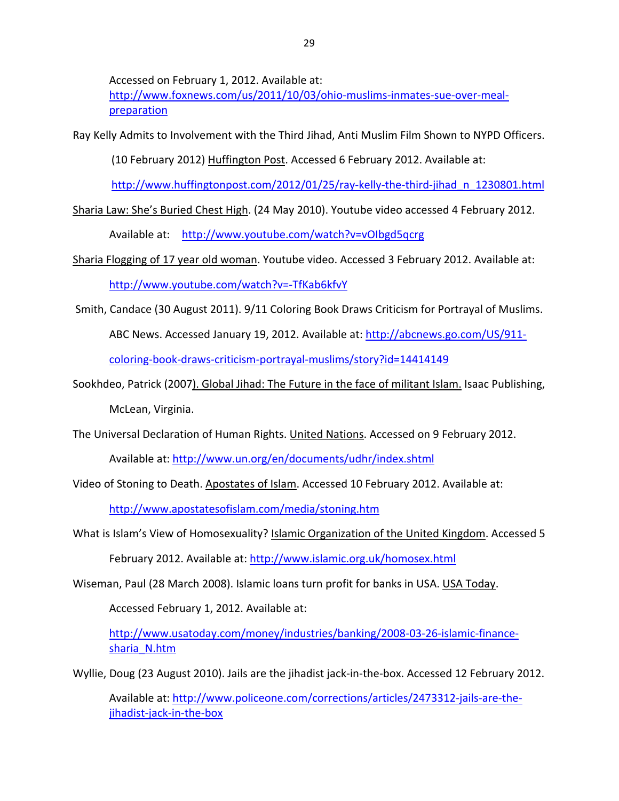Accessed on February 1, 2012. Available at:

[http://www.foxnews.com/us/2011/10/03/ohio](http://www.foxnews.com/us/2011/10/03/ohio-muslims-inmates-sue-over-meal-preparation)-muslims-inmates-sue-over-meal[preparation](http://www.foxnews.com/us/2011/10/03/ohio-muslims-inmates-sue-over-meal-preparation)

Ray Kelly Admits to Involvement with the Third Jihad, Anti Muslim Film Shown to NYPD Officers.

(10 February 2012) Huffington Post. Accessed 6 February 2012. Available at:

[http://www.huffingtonpost.com/2012/01/25/ray](http://www.huffingtonpost.com/2012/01/25/ray-kelly-the-third-jihad_n_1230801.html)‐kelly‐the‐third‐jihad\_n\_1230801.html

Sharia Law: She's Buried Chest High. (24 May 2010). Youtube video accessed 4 February 2012.

Available at: <http://www.youtube.com/watch?v=vOIbgd5qcrg>

Sharia Flogging of 17 year old woman. Youtube video. Accessed 3 February 2012. Available at:

[http://www.youtube.com/watch?v=](http://www.youtube.com/watch?v=-TfKab6kfvY)‐TfKab6kfvY

Smith, Candace (30 August 2011). 9/11 Coloring Book Draws Criticism for Portrayal of Muslims. ABC News. Accessed January 19, 2012. Available at: [http://abcnews.go.com/US/911](http://abcnews.go.com/US/911-coloring-book-draws-criticism-portrayal-muslims/story?id=14414149)‐

coloring‐book‐draws‐criticism‐portrayal‐[muslims/story?id=14414149](http://abcnews.go.com/US/911-coloring-book-draws-criticism-portrayal-muslims/story?id=14414149)

Sookhdeo, Patrick (2007). Global Jihad: The Future in the face of militant Islam. Isaac Publishing, McLean, Virginia.

The Universal Declaration of Human Rights. United Nations. Accessed on 9 February 2012.

Available at: <http://www.un.org/en/documents/udhr/index.shtml>

Video of Stoning to Death. Apostates of Islam. Accessed 10 February 2012. Available at:

<http://www.apostatesofislam.com/media/stoning.htm>

What is Islam's View of Homosexuality? Islamic Organization of the United Kingdom. Accessed 5

February 2012. Available at: <http://www.islamic.org.uk/homosex.html>

Wiseman, Paul (28 March 2008). Islamic loans turn profit for banks in USA. USA Today.

Accessed February 1, 2012. Available at:

[http://www.usatoday.com/money/industries/banking/2008](http://www.usatoday.com/money/industries/banking/2008-03-26-islamic-finance-sharia_N.htm)‐03‐26‐islamic‐finance‐ [sharia\\_N.htm](http://www.usatoday.com/money/industries/banking/2008-03-26-islamic-finance-sharia_N.htm)

Wyllie, Doug (23 August 2010). Jails are the jihadist jack‐in‐the‐box. Accessed 12 February 2012.

Available at: [http://www.policeone.com/corrections/articles/2473312](http://www.policeone.com/corrections/articles/2473312-jails-are-the-jihadist-jack-in-the-box)‐jails‐are‐the‐ [jihadist](http://www.policeone.com/corrections/articles/2473312-jails-are-the-jihadist-jack-in-the-box)‐jack‐in‐the‐box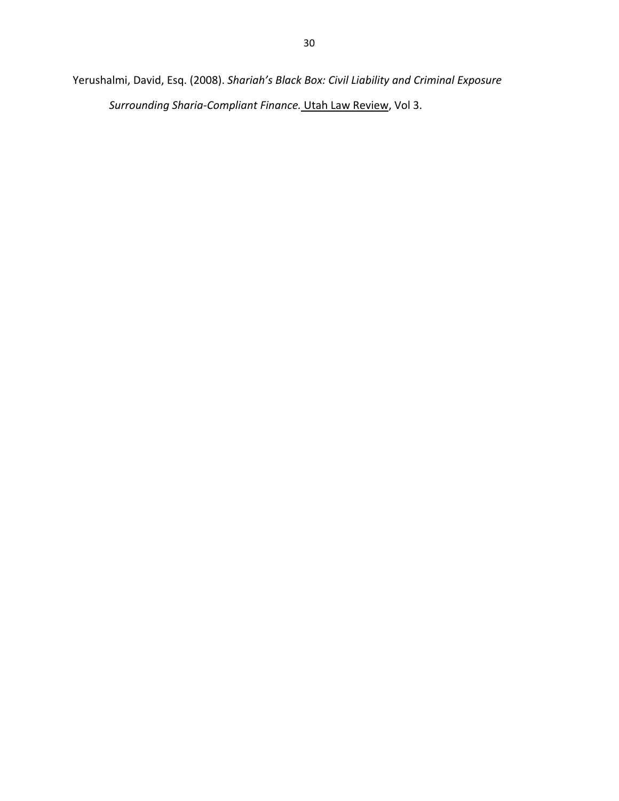Yerushalmi, David, Esq. (2008). *Shariah's Black Box: Civil Liability and Criminal Exposure Surrounding Sharia‐Compliant Finance.* Utah Law Review, Vol 3.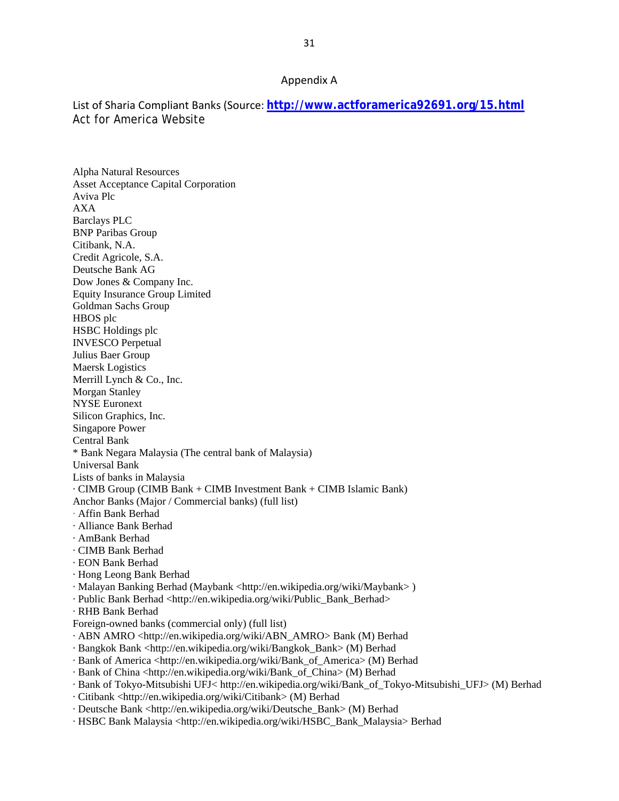#### Appendix A

List of Sharia Compliant Banks (Source: **<http://www.actforamerica92691.org/15.html>** Act for America Website

Alpha Natural Resources Asset Acceptance Capital Corporation Aviva Plc AXA Barclays PLC BNP Paribas Group Citibank, N.A. Credit Agricole, S.A. Deutsche Bank AG Dow Jones & Company Inc. Equity Insurance Group Limited Goldman Sachs Group HBOS plc HSBC Holdings plc INVESCO Perpetual Julius Baer Group Maersk Logistics Merrill Lynch & Co., Inc. Morgan Stanley NYSE Euronext Silicon Graphics, Inc. Singapore Power Central Bank \* Bank Negara Malaysia (The central bank of Malaysia) Universal Bank Lists of banks in Malaysia · CIMB Group (CIMB Bank + CIMB Investment Bank + CIMB Islamic Bank) Anchor Banks (Major / Commercial banks) (full list) · Affin Bank Berhad · Alliance Bank Berhad · AmBank Berhad · CIMB Bank Berhad · EON Bank Berhad · Hong Leong Bank Berhad · Malayan Banking Berhad (Maybank <http://en.wikipedia.org/wiki/Maybank> ) · Public Bank Berhad <http://en.wikipedia.org/wiki/Public\_Bank\_Berhad> · RHB Bank Berhad Foreign-owned banks (commercial only) (full list) · ABN AMRO <http://en.wikipedia.org/wiki/ABN\_AMRO> Bank (M) Berhad · Bangkok Bank <http://en.wikipedia.org/wiki/Bangkok\_Bank> (M) Berhad · Bank of America <http://en.wikipedia.org/wiki/Bank\_of\_America> (M) Berhad · Bank of China <http://en.wikipedia.org/wiki/Bank\_of\_China> (M) Berhad · Bank of Tokyo-Mitsubishi UFJ< http://en.wikipedia.org/wiki/Bank\_of\_Tokyo-Mitsubishi\_UFJ> (M) Berhad · Citibank <http://en.wikipedia.org/wiki/Citibank> (M) Berhad · Deutsche Bank <http://en.wikipedia.org/wiki/Deutsche\_Bank> (M) Berhad

· HSBC Bank Malaysia <http://en.wikipedia.org/wiki/HSBC\_Bank\_Malaysia> Berhad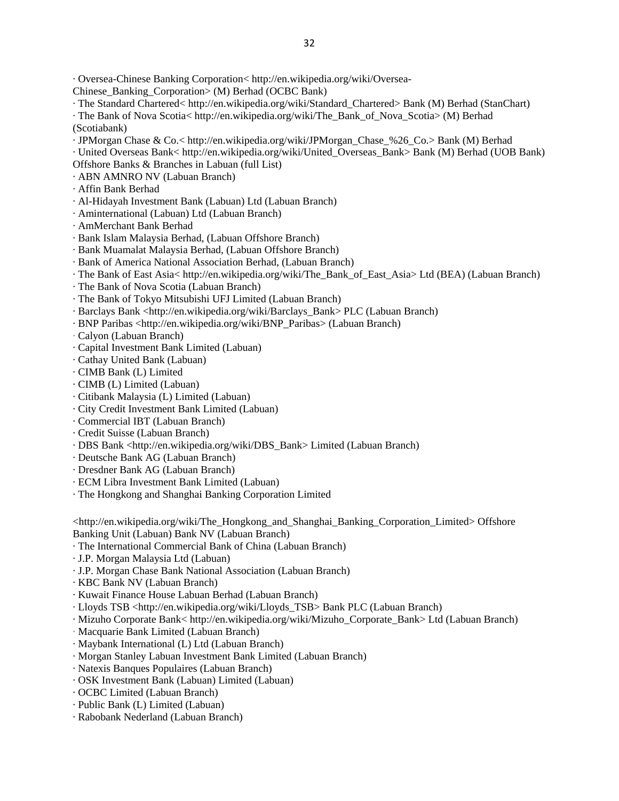· Oversea-Chinese Banking Corporation< http://en.wikipedia.org/wiki/Oversea-

Chinese\_Banking\_Corporation> (M) Berhad (OCBC Bank)

- · The Standard Chartered< http://en.wikipedia.org/wiki/Standard\_Chartered> Bank (M) Berhad (StanChart)
- · The Bank of Nova Scotia< http://en.wikipedia.org/wiki/The\_Bank\_of\_Nova\_Scotia> (M) Berhad (Scotiabank)
- · JPMorgan Chase & Co.< http://en.wikipedia.org/wiki/JPMorgan\_Chase\_%26\_Co.> Bank (M) Berhad
- · United Overseas Bank< http://en.wikipedia.org/wiki/United\_Overseas\_Bank> Bank (M) Berhad (UOB Bank)
- Offshore Banks & Branches in Labuan (full List)
- · ABN AMNRO NV (Labuan Branch)
- · Affin Bank Berhad
- · Al-Hidayah Investment Bank (Labuan) Ltd (Labuan Branch)
- · Aminternational (Labuan) Ltd (Labuan Branch)
- · AmMerchant Bank Berhad
- · Bank Islam Malaysia Berhad, (Labuan Offshore Branch)
- · Bank Muamalat Malaysia Berhad, (Labuan Offshore Branch)
- · Bank of America National Association Berhad, (Labuan Branch)
- · The Bank of East Asia< http://en.wikipedia.org/wiki/The\_Bank\_of\_East\_Asia> Ltd (BEA) (Labuan Branch)
- · The Bank of Nova Scotia (Labuan Branch)
- · The Bank of Tokyo Mitsubishi UFJ Limited (Labuan Branch)
- · Barclays Bank <http://en.wikipedia.org/wiki/Barclays\_Bank> PLC (Labuan Branch)
- · BNP Paribas <http://en.wikipedia.org/wiki/BNP\_Paribas> (Labuan Branch)
- · Calyon (Labuan Branch)
- · Capital Investment Bank Limited (Labuan)
- · Cathay United Bank (Labuan)
- · CIMB Bank (L) Limited
- · CIMB (L) Limited (Labuan)
- · Citibank Malaysia (L) Limited (Labuan)
- · City Credit Investment Bank Limited (Labuan)
- · Commercial IBT (Labuan Branch)
- · Credit Suisse (Labuan Branch)
- · DBS Bank <http://en.wikipedia.org/wiki/DBS\_Bank> Limited (Labuan Branch)
- · Deutsche Bank AG (Labuan Branch)
- · Dresdner Bank AG (Labuan Branch)
- · ECM Libra Investment Bank Limited (Labuan)
- · The Hongkong and Shanghai Banking Corporation Limited

<http://en.wikipedia.org/wiki/The\_Hongkong\_and\_Shanghai\_Banking\_Corporation\_Limited> Offshore Banking Unit (Labuan) Bank NV (Labuan Branch)

- · The International Commercial Bank of China (Labuan Branch)
- · J.P. Morgan Malaysia Ltd (Labuan)
- · J.P. Morgan Chase Bank National Association (Labuan Branch)
- · KBC Bank NV (Labuan Branch)
- · Kuwait Finance House Labuan Berhad (Labuan Branch)
- · Lloyds TSB <http://en.wikipedia.org/wiki/Lloyds\_TSB> Bank PLC (Labuan Branch)
- · Mizuho Corporate Bank< http://en.wikipedia.org/wiki/Mizuho\_Corporate\_Bank> Ltd (Labuan Branch)
- · Macquarie Bank Limited (Labuan Branch)
- · Maybank International (L) Ltd (Labuan Branch)
- · Morgan Stanley Labuan Investment Bank Limited (Labuan Branch)
- · Natexis Banques Populaires (Labuan Branch)
- · OSK Investment Bank (Labuan) Limited (Labuan)
- · OCBC Limited (Labuan Branch)
- · Public Bank (L) Limited (Labuan)
- · Rabobank Nederland (Labuan Branch)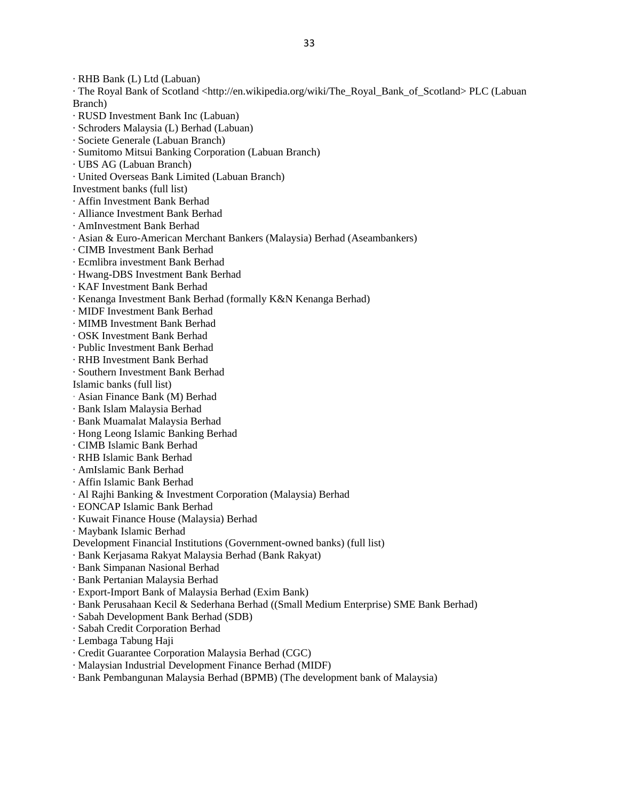· RHB Bank (L) Ltd (Labuan)

· The Royal Bank of Scotland <http://en.wikipedia.org/wiki/The\_Royal\_Bank\_of\_Scotland> PLC (Labuan Branch)

- · RUSD Investment Bank Inc (Labuan)
- · Schroders Malaysia (L) Berhad (Labuan)
- · Societe Generale (Labuan Branch)
- · Sumitomo Mitsui Banking Corporation (Labuan Branch)
- · UBS AG (Labuan Branch)
- · United Overseas Bank Limited (Labuan Branch)
- Investment banks (full list)
- · Affin Investment Bank Berhad
- · Alliance Investment Bank Berhad
- · AmInvestment Bank Berhad
- · Asian & Euro-American Merchant Bankers (Malaysia) Berhad (Aseambankers)
- · CIMB Investment Bank Berhad
- · Ecmlibra investment Bank Berhad
- · Hwang-DBS Investment Bank Berhad
- · KAF Investment Bank Berhad
- · Kenanga Investment Bank Berhad (formally K&N Kenanga Berhad)
- · MIDF Investment Bank Berhad
- · MIMB Investment Bank Berhad
- · OSK Investment Bank Berhad
- · Public Investment Bank Berhad
- · RHB Investment Bank Berhad
- · Southern Investment Bank Berhad
- Islamic banks (full list)
- · Asian Finance Bank (M) Berhad
- · Bank Islam Malaysia Berhad
- · Bank Muamalat Malaysia Berhad
- · Hong Leong Islamic Banking Berhad
- · CIMB Islamic Bank Berhad
- · RHB Islamic Bank Berhad
- · AmIslamic Bank Berhad
- · Affin Islamic Bank Berhad
- · Al Rajhi Banking & Investment Corporation (Malaysia) Berhad
- · EONCAP Islamic Bank Berhad
- · Kuwait Finance House (Malaysia) Berhad
- · Maybank Islamic Berhad
- Development Financial Institutions (Government-owned banks) (full list)
- · Bank Kerjasama Rakyat Malaysia Berhad (Bank Rakyat)
- · Bank Simpanan Nasional Berhad
- · Bank Pertanian Malaysia Berhad
- · Export-Import Bank of Malaysia Berhad (Exim Bank)
- · Bank Perusahaan Kecil & Sederhana Berhad ((Small Medium Enterprise) SME Bank Berhad)
- · Sabah Development Bank Berhad (SDB)
- · Sabah Credit Corporation Berhad
- · Lembaga Tabung Haji
- · Credit Guarantee Corporation Malaysia Berhad (CGC)
- · Malaysian Industrial Development Finance Berhad (MIDF)
- · Bank Pembangunan Malaysia Berhad (BPMB) (The development bank of Malaysia)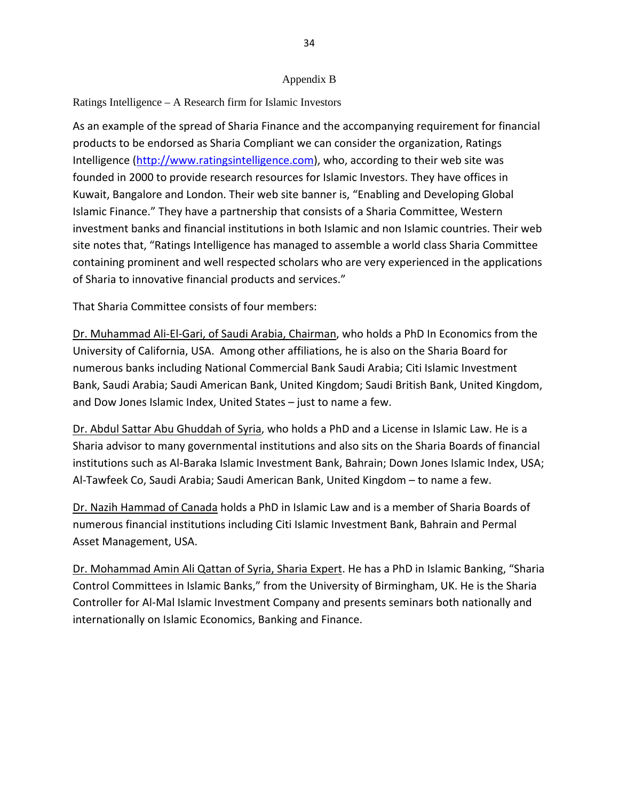#### Appendix B

Ratings Intelligence – A Research firm for Islamic Investors

As an example of the spread of Sharia Finance and the accompanying requirement for financial products to be endorsed as Sharia Compliant we can consider the organization, Ratings Intelligence ([http://www.ratingsintelligence.com](http://www.ratingsintelligence.com/)), who, according to their web site was founded in 2000 to provide research resources for Islamic Investors. They have offices in Kuwait, Bangalore and London. Their web site banner is, "Enabling and Developing Global Islamic Finance." They have a partnership that consists of a Sharia Committee, Western investment banks and financial institutions in both Islamic and non Islamic countries. Their web site notes that, "Ratings Intelligence has managed to assemble a world class Sharia Committee containing prominent and well respected scholars who are very experienced in the applications of Sharia to innovative financial products and services."

That Sharia Committee consists of four members:

Dr. Muhammad Ali‐El‐Gari, of Saudi Arabia, Chairman, who holds a PhD In Economics from the University of California, USA. Among other affiliations, he is also on the Sharia Board for numerous banks including National Commercial Bank Saudi Arabia; Citi Islamic Investment Bank, Saudi Arabia; Saudi American Bank, United Kingdom; Saudi British Bank, United Kingdom, and Dow Jones Islamic Index, United States – just to name a few.

Dr. Abdul Sattar Abu Ghuddah of Syria, who holds a PhD and a License in Islamic Law. He is a Sharia advisor to many governmental institutions and also sits on the Sharia Boards of financial institutions such as Al‐Baraka Islamic Investment Bank, Bahrain; Down Jones Islamic Index, USA; Al‐Tawfeek Co, Saudi Arabia; Saudi American Bank, United Kingdom – to name a few.

Dr. Nazih Hammad of Canada holds a PhD in Islamic Law and is a member of Sharia Boards of numerous financial institutions including Citi Islamic Investment Bank, Bahrain and Permal Asset Management, USA.

Dr. Mohammad Amin Ali Qattan of Syria, Sharia Expert. He has a PhD in Islamic Banking, "Sharia Control Committees in Islamic Banks," from the University of Birmingham, UK. He is the Sharia Controller for Al‐Mal Islamic Investment Company and presents seminars both nationally and internationally on Islamic Economics, Banking and Finance.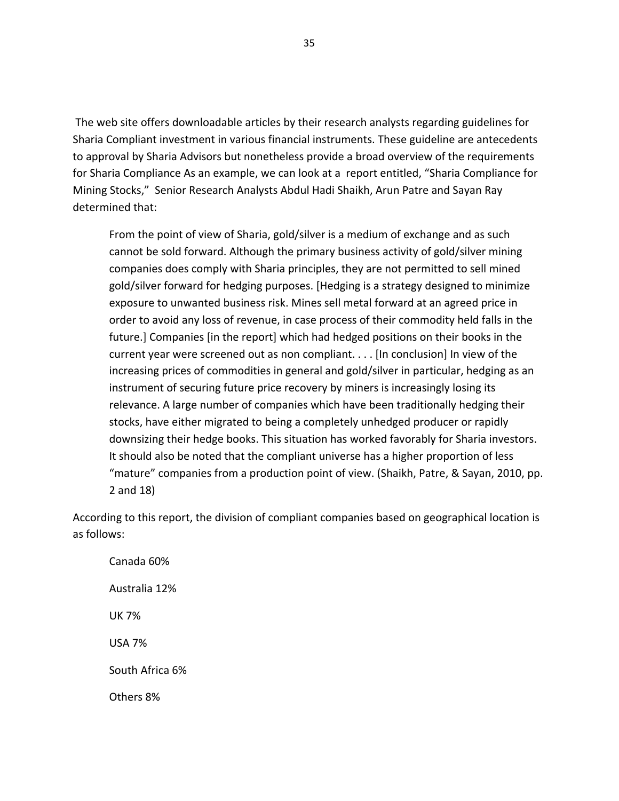The web site offers downloadable articles by their research analysts regarding guidelines for Sharia Compliant investment in various financial instruments. These guideline are antecedents to approval by Sharia Advisors but nonetheless provide a broad overview of the requirements for Sharia Compliance As an example, we can look at a report entitled, "Sharia Compliance for Mining Stocks," Senior Research Analysts Abdul Hadi Shaikh, Arun Patre and Sayan Ray determined that:

From the point of view of Sharia, gold/silver is a medium of exchange and as such cannot be sold forward. Although the primary business activity of gold/silver mining companies does comply with Sharia principles, they are not permitted to sell mined gold/silver forward for hedging purposes. [Hedging is a strategy designed to minimize exposure to unwanted business risk. Mines sell metal forward at an agreed price in order to avoid any loss of revenue, in case process of their commodity held falls in the future.] Companies [in the report] which had hedged positions on their books in the current year were screened out as non compliant. . . . [In conclusion] In view of the increasing prices of commodities in general and gold/silver in particular, hedging as an instrument of securing future price recovery by miners is increasingly losing its relevance. A large number of companies which have been traditionally hedging their stocks, have either migrated to being a completely unhedged producer or rapidly downsizing their hedge books. This situation has worked favorably for Sharia investors. It should also be noted that the compliant universe has a higher proportion of less "mature" companies from a production point of view. (Shaikh, Patre, & Sayan, 2010, pp. 2 and 18)

According to this report, the division of compliant companies based on geographical location is as follows:

Canada 60% Australia 12% UK 7% USA 7% South Africa 6% Others 8%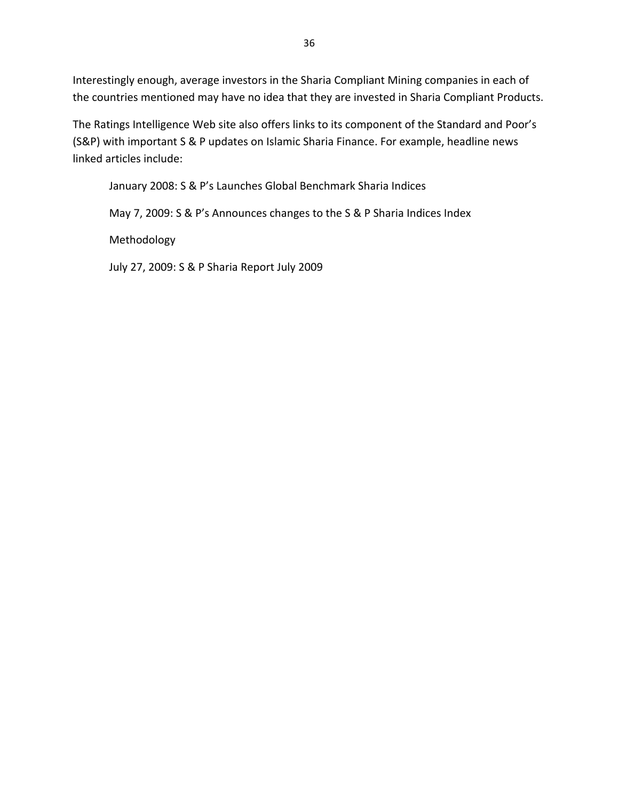Interestingly enough, average investors in the Sharia Compliant Mining companies in each of the countries mentioned may have no idea that they are invested in Sharia Compliant Products.

The Ratings Intelligence Web site also offers links to its component of the Standard and Poor's (S&P) with important S & P updates on Islamic Sharia Finance. For example, headline news linked articles include:

January 2008: S & P's Launches Global Benchmark Sharia Indices

May 7, 2009: S & P's Announces changes to the S & P Sharia Indices Index

Methodology

July 27, 2009: S & P Sharia Report July 2009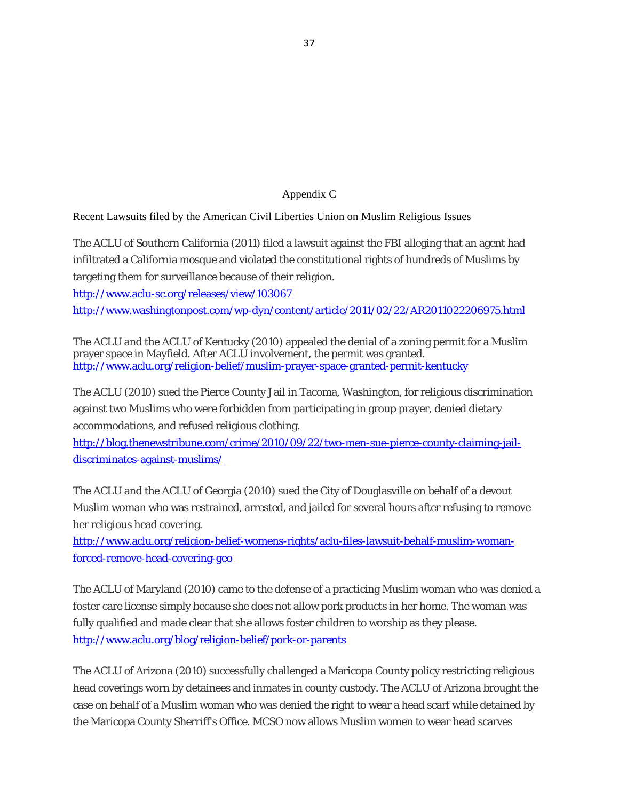#### Appendix C

Recent Lawsuits filed by the American Civil Liberties Union on Muslim Religious Issues

The ACLU of Southern California (2011) filed a lawsuit against the FBI alleging that an agent had infiltrated a California mosque and violated the constitutional rights of hundreds of Muslims by targeting them for surveillance because of their religion.

<http://www.aclu-sc.org/releases/view/103067>

<http://www.washingtonpost.com/wp-dyn/content/article/2011/02/22/AR2011022206975.html>

The ACLU and the ACLU of Kentucky (2010) appealed the denial of a zoning permit for a Muslim prayer space in Mayfield. After ACLU involvement, the permit was granted. <http://www.aclu.org/religion-belief/muslim-prayer-space-granted-permit-kentucky>

The ACLU (2010) sued the Pierce County Jail in Tacoma, Washington, for religious discrimination against two Muslims who were forbidden from participating in group prayer, denied dietary accommodations, and refused religious clothing.

[http://blog.thenewstribune.com/crime/2010/09/22/two-men-sue-pierce-county-claiming-jail](http://blog.thenewstribune.com/crime/2010/09/22/two-men-sue-pierce-county-claiming-jail-discriminates-against-muslims/)[discriminates-against-muslims/](http://blog.thenewstribune.com/crime/2010/09/22/two-men-sue-pierce-county-claiming-jail-discriminates-against-muslims/)

The ACLU and the ACLU of Georgia (2010) sued the City of Douglasville on behalf of a devout Muslim woman who was restrained, arrested, and jailed for several hours after refusing to remove her religious head covering.

[http://www.aclu.org/religion-belief-womens-rights/aclu-files-lawsuit-behalf-muslim-woman](http://www.aclu.org/religion-belief-womens-rights/aclu-files-lawsuit-behalf-muslim-woman-forced-remove-head-covering-geo)[forced-remove-head-covering-geo](http://www.aclu.org/religion-belief-womens-rights/aclu-files-lawsuit-behalf-muslim-woman-forced-remove-head-covering-geo)

The ACLU of Maryland (2010) came to the defense of a practicing Muslim woman who was denied a foster care license simply because she does not allow pork products in her home. The woman was fully qualified and made clear that she allows foster children to worship as they please. <http://www.aclu.org/blog/religion-belief/pork-or-parents>

The ACLU of Arizona (2010) successfully challenged a Maricopa County policy restricting religious head coverings worn by detainees and inmates in county custody. The ACLU of Arizona brought the case on behalf of a Muslim woman who was denied the right to wear a head scarf while detained by the Maricopa County Sherriff's Office. MCSO now allows Muslim women to wear head scarves